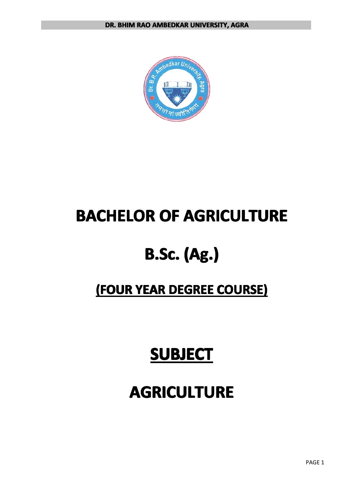

## **BACHELOR OF AGRICULTURE**

## **B.Sc. (Ag.)**

## **(FOUR YEAR DEGREE COURSE) COURSE) COURSE)**

## **SUBJECT SUBJECT SUBJECT**

## $AGRICULTURE$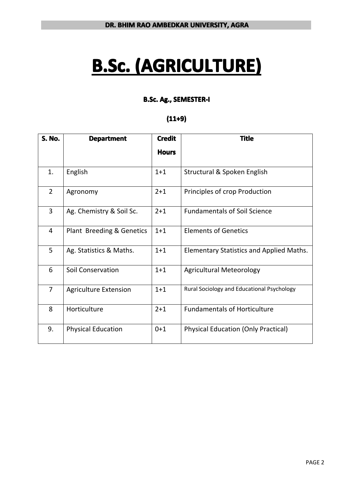# **B.Sc. (AGRICULTURE)**

## **B.Sc. Ag., SEMESTER-I SEMESTER-I SEMESTER-I**

## **(11+9)**

| <b>S. No.</b>  | <b>Department</b>            | <b>Credit</b> | <b>Title</b>                                    |
|----------------|------------------------------|---------------|-------------------------------------------------|
|                |                              | <b>Hours</b>  |                                                 |
| 1.             | English                      | $1 + 1$       | Structural & Spoken English                     |
| $\overline{2}$ | Agronomy                     | $2 + 1$       | Principles of crop Production                   |
| $\overline{3}$ | Ag. Chemistry & Soil Sc.     | $2 + 1$       | <b>Fundamentals of Soil Science</b>             |
| 4              | Plant Breeding & Genetics    | $1+1$         | <b>Elements of Genetics</b>                     |
| 5              | Ag. Statistics & Maths.      | $1 + 1$       | <b>Elementary Statistics and Applied Maths.</b> |
| 6              | <b>Soil Conservation</b>     | $1 + 1$       | <b>Agricultural Meteorology</b>                 |
| $\overline{7}$ | <b>Agriculture Extension</b> | $1 + 1$       | Rural Sociology and Educational Psychology      |
| 8              | Horticulture                 | $2 + 1$       | <b>Fundamentals of Horticulture</b>             |
| 9.             | <b>Physical Education</b>    | $0 + 1$       | <b>Physical Education (Only Practical)</b>      |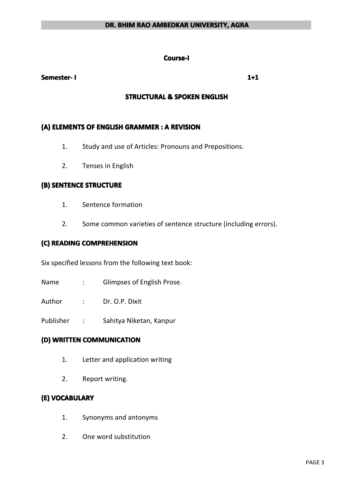#### **Course-I Course-I**

#### **Semester- Semester- Semester-I 1+1**

#### **STRUCTURAL STRUCTURAL STRUCTURAL STRUCTURAL & SPOKEN ENGLISH ENGLISH ENGLISHENGLISH**

#### **(A) ELEMENTS ELEMENTSELEMENTSELEMENTSOF ENGLISH ENGLISHENGLISHENGLISHGRAMMER GRAMMERGRAMMERGRAMMER: A REVISION REVISION**

- 1. Study and use of Articles: Pronouns and Prepositions.
- 2. Tenses in English

#### **(B) SENTENCE SENTENCESTRUCTURE STRUCTURE**

- 1. Sentence formation
- 2. Some common varieties of sentence structure (including errors).

## **(C) READING READINGCOMPREHENSION COMPREHENSIONCOMPREHENSION**

Six specified lessons from the following text book:

Name : Glimpses of English Prose.

Author : Dr. O.P. Dixit

Publisher : Sahitya Niketan, Kanpur

### **(D) WRITTEN WRITTENCOMMUNICATION COMMUNICATION**

- 1. Letter and application writing
- 2. Report writing.

#### **(E) VOCABULARY**

- 1. Synonyms and antonyms
- 2. One word substitution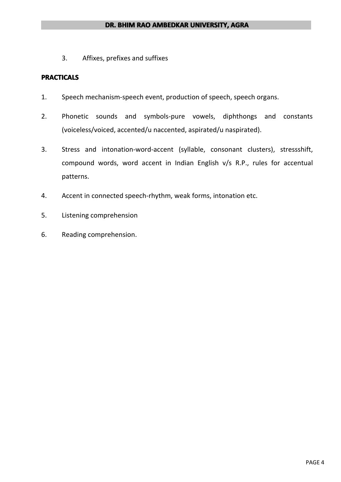3. Affixes, prefixes and suffixes

#### **PRACTICALS PRACTICALS**

- 1. Speech mechanism-speech event, production of speech, speech organs.
- 2. Phonetic sounds and symbols-pure vowels, diphthongs and constants (voiceless/voiced, accented/u naccented, aspirated/u naspirated).
- 3. Stress and intonation-word-accent (syllable, consonant clusters), stressshift, compound words, word accent in Indian English v/s R.P., rules for accentual patterns.
- 4. Accent in connected speech-rhythm, weak forms, intonation etc.
- 5. Listening comprehension
- 6. Reading comprehension.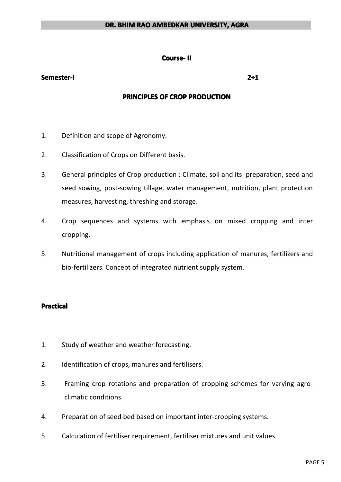#### **Course- Course-II**

#### **Semester-I Semester-I**

#### **PRINCIPLES PRINCIPLES PRINCIPLES OF CROP PRODUCTION PRODUCTION**

- 1. Definition and scope of Agronomy.
- 2. Classification of Crops on Different basis.
- 3. General principles of Crop production : Climate, soil and its preparation, seed and seed sowing, post-sowing tillage, water management, nutrition, plant protection measures, harvesting, threshing and storage.
- 4. Crop sequences and systems with emphasis on mixed cropping and inter cropping.
- 5. Nutritional management of crops including application of manures, fertilizers and bio-fertilizers. Concept of integrated nutrient supply system.

#### **Practical Practical**

- 1. Study of weather and weather forecasting.
- 2. Identification of crops, manures and fertilisers.
- 3. Framing crop rotations and preparation of cropping schemes for varying agroclimatic conditions.
- 4. Preparation of seed bed based on important inter-cropping systems.
- 5. Calculation of fertiliser requirement, fertiliser mixtures and unit values.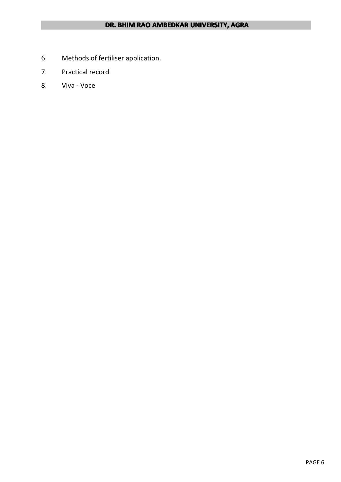- 6. Methods of fertiliser application.
- 7. Practical record
- 8. Viva Voce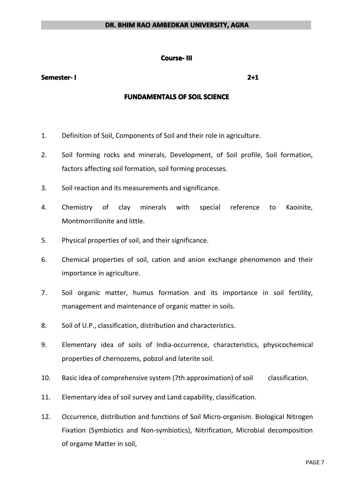#### **Course- III**

#### **Semester- Semester- Semester-I 2+1**

#### **FUNDAMENTALS OF SOIL SCIENCE**

- 1. Definition of Soil, Components of Soil and their role in agriculture.
- 2. Soil forming rocks and minerals, Development, of Soil profile, Soil formation, factors affecting soil formation, soil forming processes.
- 3. Soil reaction and its measurements and significance.
- 4. Chemistry of clay minerals with special reference to Kaoinite, Montmorrillonite and little.
- 5. Physical properties of soil, and their significance.
- 6. Chemical properties of soil, cation and anion exchange phenomenon and their importance in agriculture.
- 7. Soil organic matter, humus formation and its importance in soil fertility, management and maintenance of organic matter in soils.
- 8. Soil of U.P., classification, distribution and characteristics.
- 9. Elementary idea of soils of India-occurrence, characteristics, physicochemical properties of chernozems, pobzol and laterite soil.
- 10. Basic idea of comprehensive system (7th approximation) of soil classification.
- 11. Elementary idea of soil survey and Land capability, classification.
- 12. Occurrence, distribution and functions of Soil Micro-organism. Biological Nitrogen Fixation (Symbiotics and Non-symbiotics), Nitrification, Microbial decomposition of orgame Matter in soil,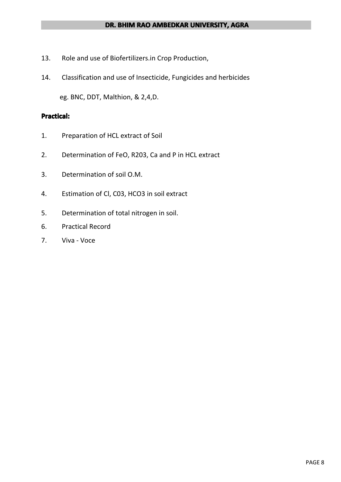- 13. Role and use of Biofertilizers.in Crop Production,
- 14. Classification and use of Insecticide, Fungicides and herbicides

eg. BNC, DDT, Malthion, & 2,4,D.

#### **Practical:**

- 1. Preparation of HCL extract of Soil
- 2. Determination of FeO, R203, Ca and P in HCL extract
- 3. Determination of soil O.M.
- 4. Estimation of Cl, C03, HCO3 in soil extract
- 5. Determination of total nitrogen in soil.
- 6. Practical Record
- 7. Viva Voce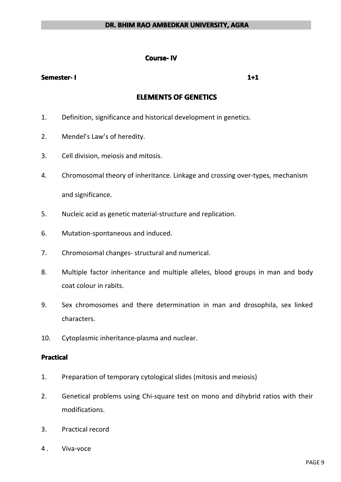#### **Course-IV**

#### **Semester- Semester- Semester-I 1+1**

## **ELEMENTS ELEMENTS ELEMENTSELEMENTSOF GENETICS GENETICS GENETICSGENETICS**

- 1. Definition, significance and historical development in genetics.
- 2. Mendel's Law's of heredity.
- 3. Cell division, meiosis and mitosis.
- 4. Chromosomal theory of inheritance. Linkage and crossing over-types, mechanism and significance.
- 5. Nucleic acid as genetic material-structure and replication.
- 6. Mutation-spontaneous and induced.
- 7. Chromosomal changes- structural and numerical.
- 8. Multiple factor inheritance and multiple alleles, blood groups in man and body coat colour in rabits.
- 9. Sex chromosomes and there determination in man and drosophila, sex linked characters.
- 10. Cytoplasmic inheritance-plasma and nuclear.

#### **Practical Practical Practical Practical**

- 1. Preparation of temporary cytological slides (mitosis and meiosis)
- 2. Genetical problems using Chi-square test on mono and dihybrid ratios with their modifications.
- 3. Practical record
- 4 . Viva-voce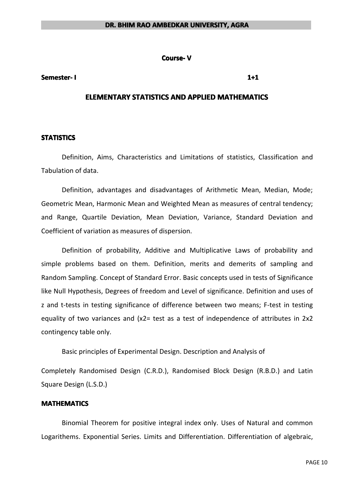**Course- V**

#### **Semester- Semester- Semester-I 1+1**

#### **ELEMENTARY STATISTICS AND APPLIED MATHEMATICS**

#### **STATISTICS STATISTICS**

Definition, Aims, Characteristics and Limitations of statistics, Classification and Tabulation of data.

Definition, advantages and disadvantages of Arithmetic Mean, Median, Mode; Geometric Mean, Harmonic Mean and Weighted Mean as measures of central tendency; and Range, Quartile Deviation, Mean Deviation, Variance, Standard Deviation and Coefficient of variation as measures of dispersion.

Definition of probability, Additive and Multiplicative Laws of probability and simple problems based on them. Definition, merits and demerits of sampling and Random Sampling. Concept of Standard Error. Basic concepts used in tests of Significance like Null Hypothesis, Degrees of freedom and Level of significance. Definition and uses of <sup>z</sup> and t-tests in testing significance of difference between two means; F-test in testing equality of two variances and  $(x2=$  test as a test of independence of attributes in  $2x2$ contingency table only.

Basic principles of Experimental Design. Description and Analysis of

Completely Randomised Design (C.R.D.), Randomised Block Design (R.B.D.) and Latin Square Design (L.S.D.)

#### **MATHEMATICS MATHEMATICS**

Binomial Theorem for positive integral index only. Uses of Natural and common Logarithems. Exponential Series. Limits and Differentiation. Differentiation of algebraic,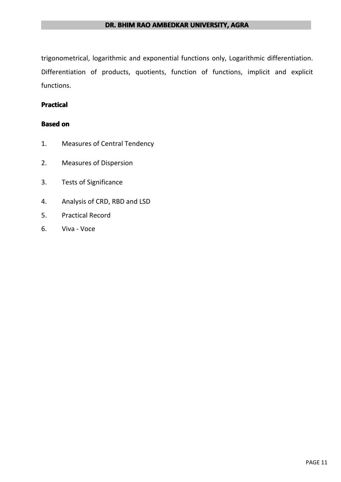trigonometrical, logarithmic and exponential functions only, Logarithmic differentiation. Differentiation of products, quotients, function of functions, implicit and explicit functions.

#### **Practical Practical**

#### **Based on**

- 1. Measures of Central Tendency
- 2. Measures of Dispersion
- 3. Tests of Significance
- 4. Analysis of CRD, RBD and LSD
- 5. Practical Record
- 6. Viva Voce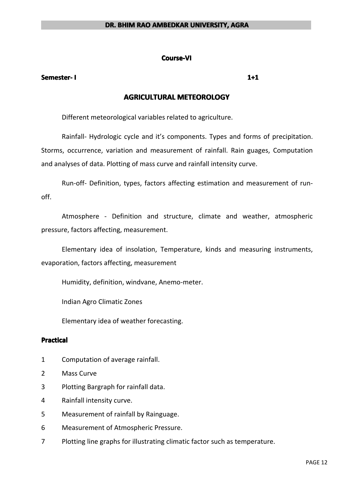#### **Course-VI**

#### **Semester- Semester- Semester-I 1+1**

## **AGRICULTURAL AGRICULTURAL AGRICULTURALAGRICULTURALMETEOROLOGY METEOROLOGY METEOROLOGYMETEOROLOGY**

Different meteorological variables related to agriculture.

Rainfall- Hydrologic cycle and it's components. Types and forms of precipitation. Storms, occurrence, variation and measurement of rainfall. Rain guages, Computation and analyses of data. Plotting of mass curve and rainfall intensity curve.

Run-off- Definition, types, factors affecting estimation and measurement of runoff.

Atmosphere - Definition and structure, climate and weather, atmospheric pressure, factors affecting, measurement.

Elementary idea of insolation, Temperature, kinds and measuring instruments, evaporation, factors affecting, measurement

Humidity, definition, windvane, Anemo-meter.

Indian Agro Climatic Zones

Elementary idea of weather forecasting.

#### **Practical Practical Practical Practical**

- 1 Computation of average rainfall.
- 2 Mass Curve
- 3 Plotting Bargraph for rainfall data.
- 4 Rainfall intensity curve.
- 5 Measurement of rainfall by Rainguage.
- 6 Measurement of Atmospheric Pressure.
- 7 Plotting line graphs for illustrating climatic factor such as temperature.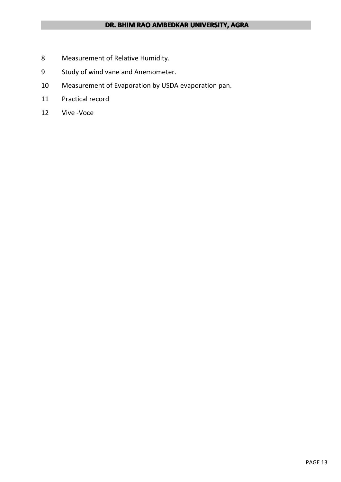- 8 Measurement of Relative Humidity.
- 9 Study of wind vane and Anemometer.
- 10 Measurement of Evaporation by USDA evaporation pan.
- 11 Practical record
- 12 Vive -Voce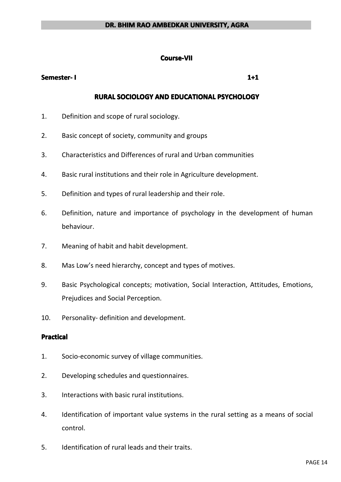#### **Course-VII Course-VII**

#### **Semester- Semester- Semester-I 1+1**

#### **RURAL SOCIOLOGY SOCIOLOGY AND EDUCATIONAL EDUCATIONAL EDUCATIONAL EDUCATIONAL PSYCHOLOGY PSYCHOLOGY PSYCHOLOGYPSYCHOLOGY**

- 1. Definition and scope of rural sociology.
- 2. Basic concept of society, community and groups
- 3. Characteristics and Differences of rural and Urban communities
- 4. Basic rural institutions and their role in Agriculture development.
- 5. Definition and types of rural leadership and their role.
- 6. Definition, nature and importance of psychology in the development of human behaviour.
- 7. Meaning of habit and habit development.
- 8. Mas Low's need hierarchy, concept and types of motives.
- 9. Basic Psychological concepts; motivation, Social Interaction, Attitudes, Emotions, Prejudices and Social Perception.
- 10. Personality- definition and development.

#### **Practical Practical**

- 1. Socio-economic survey of village communities.
- 2. Developing schedules and questionnaires.
- 3. Interactions with basic rural institutions.
- 4. Identification of important value systems in the rural setting as <sup>a</sup> means of social control.
- 5. Identification of rural leads and their traits.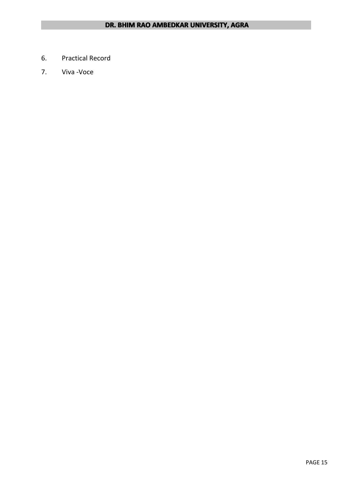- 6. Practical Record
- 7. Viva -Voce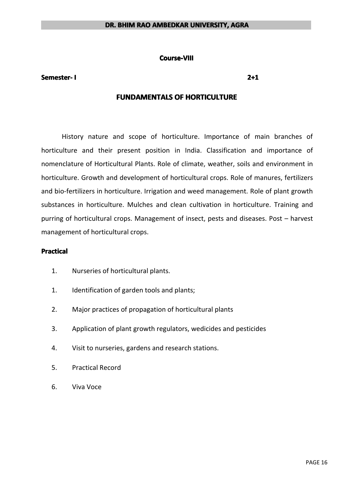#### **Course-VIII Course-VIII**

#### **Semester- Semester- Semester-I 2+1**

#### **FUNDAMENTALS OF HORTICULTURE**

History nature and scope of horticulture. Importance of main branches of horticulture and their present position in India. Classification and importance of nomenclature of Horticultural Plants. Role of climate, weather, soils and environment in horticulture. Growth and development of horticultural crops. Role of manures, fertilizers and bio-fertilizers in horticulture. Irrigation and weed management. Role of plant growth substances in horticulture. Mulches and clean cultivation in horticulture. Training and purring of horticultural crops. Management of insect, pests and diseases. Post – harvest management of horticultural crops.

#### **Practical**

- 1. Nurseries of horticultural plants.
- 1. Identification of garden tools and plants;
- 2. Major practices of propagation of horticultural plants
- 3. Application of plant growth regulators, wedicides and pesticides
- 4. Visit to nurseries, gardens and research stations.
- 5. Practical Record
- 6. Viva Voce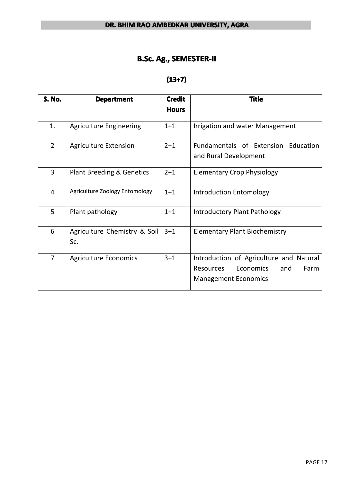## **B.Sc. Ag., SEMESTER-II**

## **(13+7)**

| <b>S. No.</b>  | <b>Department</b>                    | <b>Credit</b><br><b>Hours</b> | <b>Title</b>                                                                                                                  |
|----------------|--------------------------------------|-------------------------------|-------------------------------------------------------------------------------------------------------------------------------|
| 1.             | <b>Agriculture Engineering</b>       | $1 + 1$                       | Irrigation and water Management                                                                                               |
| $\overline{2}$ | <b>Agriculture Extension</b>         | $2 + 1$                       | Fundamentals of Extension<br>Education<br>and Rural Development                                                               |
| 3              | <b>Plant Breeding &amp; Genetics</b> | $2 + 1$                       | <b>Elementary Crop Physiology</b>                                                                                             |
| $\overline{4}$ | Agriculture Zoology Entomology       | $1 + 1$                       | <b>Introduction Entomology</b>                                                                                                |
| 5              | Plant pathology                      | $1+1$                         | Introductory Plant Pathology                                                                                                  |
| 6              | Agriculture Chemistry & Soil<br>Sc.  | $3 + 1$                       | <b>Elementary Plant Biochemistry</b>                                                                                          |
| $\overline{7}$ | <b>Agriculture Economics</b>         | $3 + 1$                       | Introduction of Agriculture and Natural<br><b>Resources</b><br><b>Economics</b><br>Farm<br>and<br><b>Management Economics</b> |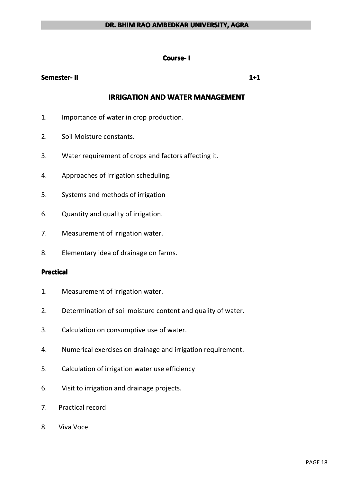#### **Course- I**

#### **Semester- Semester- Semester-II 1+1**

## **IRRIGATION AND WATER MANAGEMENT**

- 1. Importance of water in crop production.
- 2. Soil Moisture constants.
- 3. Water requirement of crops and factors affecting it.
- 4. Approaches of irrigation scheduling.
- 5. Systems and methods of irrigation
- 6. Quantity and quality of irrigation.
- 7. Measurement of irrigation water.
- 8. Elementary idea of drainage on farms.

#### **Practical Practical Practical Practical**

- 1. Measurement of irrigation water.
- 2. Determination of soil moisture content and quality of water.
- 3. Calculation on consumptive use of water.
- 4. Numerical exercises on drainage and irrigation requirement.
- 5. Calculation of irrigation water use efficiency
- 6. Visit to irrigation and drainage projects.
- 7. Practical record
- 8. Viva Voce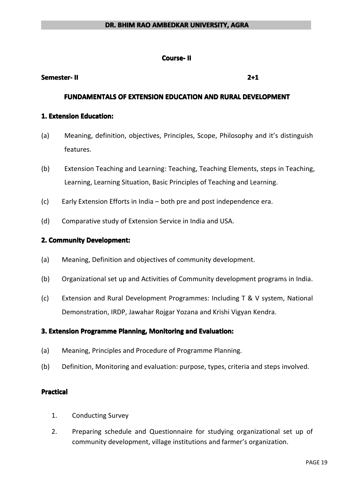#### **Course- Course-II**

#### **Semester- Semester- Semester-II 2+1**

#### **FUNDAMENTALS OF EXTENSION EDUCATION AND RURAL DEVELOPMENT**

#### **1. Extension Education:**

- (a) Meaning, definition, objectives, Principles, Scope, Philosophy and it's distinguish features.
- (b) Extension Teaching and Learning: Teaching, Teaching Elements, steps in Teaching, Learning, Learning Situation, Basic Principles of Teaching and Learning.
- (c) Early Extension Efforts in India both pre and post independence era.
- (d) Comparative study of Extension Service in India and USA.

#### **2. Community Community Development:**

- (a) Meaning, Definition and objectives of community development.
- (b) Organizational set up and Activities of Community development programs in India.
- (c) Extension and Rural Development Programmes: Including T & V system, National Demonstration, IRDP, Jawahar Rojgar Yozana and Krishi Vigyan Kendra.

#### **3. Extension Programme Planning, Monitoring and Evaluation:**

- (a) Meaning, Principles and Procedure of Programme Planning.
- (b) Definition, Monitoring and evaluation: purpose, types, criteria and steps involved.

#### **Practical Practical**

- 1. Conducting Survey
- 2. Preparing schedule and Questionnaire for studying organizational set up of community development, village institutions and farmer's organization.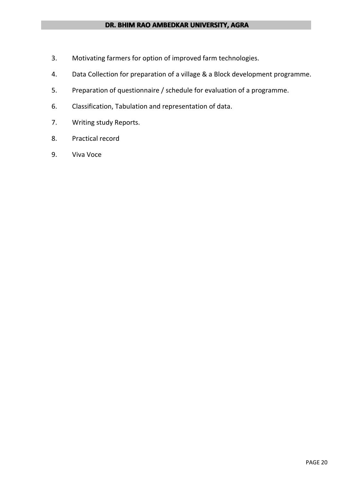- 3. Motivating farmers for option of improved farm technologies.
- 4. Data Collection for preparation of <sup>a</sup> village & <sup>a</sup> Block development programme.
- 5. Preparation of questionnaire / schedule for evaluation of <sup>a</sup> programme.
- 6. Classification, Tabulation and representation of data.
- 7. Writing study Reports.
- 8. Practical record
- 9. Viva Voce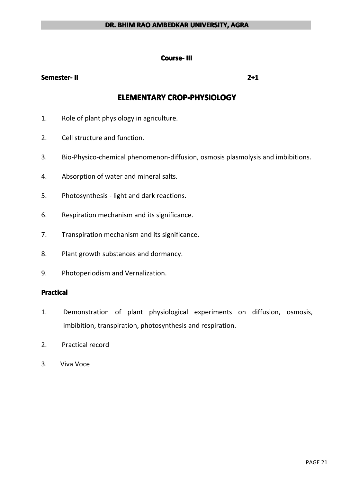#### **Course- III**

#### **Semester- Semester- Semester-II 2+1**

## **ELEMENTARY ELEMENTARYELEMENTARY ELEMENTARYCROP-PHYSIOLOGY CROP-PHYSIOLOGY CROP-PHYSIOLOGY**

- 1. Role of plant physiology in agriculture.
- 2. Cell structure and function.
- 3. Bio-Physico-chemical phenomenon-diffusion, osmosis plasmolysis and imbibitions.
- 4. Absorption of water and mineral salts.
- 5. Photosynthesis light and dark reactions.
- 6. Respiration mechanism and its significance.
- 7. Transpiration mechanism and its significance.
- 8. Plant growth substances and dormancy.
- 9. Photoperiodism and Vernalization.

#### **Practical Practical**

- 1. Demonstration of plant physiological experiments on diffusion, osmosis, imbibition, transpiration, photosynthesis and respiration.
- 2. Practical record
- 3. Viva Voce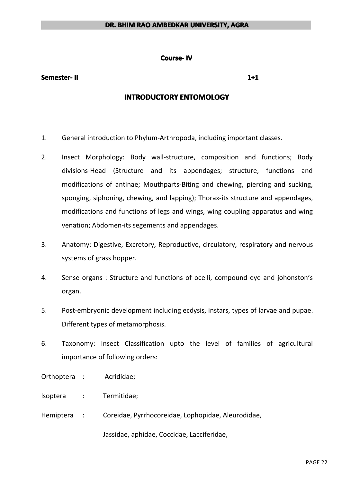#### **Course-IV**

#### **Semester- Semester- Semester-II 1+1**

#### **INTRODUCTORY INTRODUCTORY ENTOMOLOGY ENTOMOLOGY ENTOMOLOGY**

- 1. General introduction to Phylum-Arthropoda, including important classes.
- 2. Insect Morphology: Body wall-structure, composition and functions; Body divisions-Head (Structure and its appendages; structure, functions and modifications of antinae; Mouthparts-Biting and chewing, piercing and sucking, sponging, siphoning, chewing, and lapping); Thorax-its structure and appendages, modifications and functions of legs and wings, wing coupling apparatus and wing venation; Abdomen-its segements and appendages.
- 3. Anatomy: Digestive, Excretory, Reproductive, circulatory, respiratory and nervous systems of grass hopper.
- 4. Sense organs : Structure and functions of ocelli, compound eye and johonston's organ.
- 5. Post-embryonic development including ecdysis, instars, types of larvae and pupae. Different types of metamorphosis.
- 6. Taxonomy: Insect Classification upto the level of families of agricultural importance of following orders:
- Orthoptera : Acrididae;
- lsoptera : Termitidae;
- Hemiptera : Coreidae, Pyrrhocoreidae, Lophopidae, Aleurodidae,

Jassidae, aphidae, Coccidae, Lacciferidae,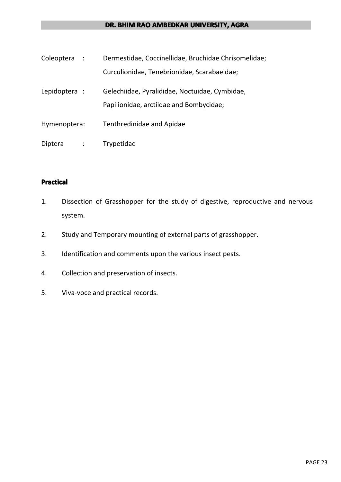| Coleoptera :                 | Dermestidae, Coccinellidae, Bruchidae Chrisomelidae; |
|------------------------------|------------------------------------------------------|
|                              | Curculionidae, Tenebrionidae, Scarabaeidae;          |
| Lepidoptera :                | Gelechiidae, Pyralididae, Noctuidae, Cymbidae,       |
|                              | Papilionidae, arctiidae and Bombycidae;              |
| Hymenoptera:                 | Tenthredinidae and Apidae                            |
| Diptera<br>$\sim$ 100 $\sim$ | Trypetidae                                           |

## **Practical Practical Practical Practical**

- 1. Dissection of Grasshopper for the study of digestive, reproductive and nervous system.
- 2. Study and Temporary mounting of external parts of grasshopper.
- 3. Identification and comments upon the various insect pests.
- 4. Collection and preservation of insects.
- 5. Viva-voce and practical records.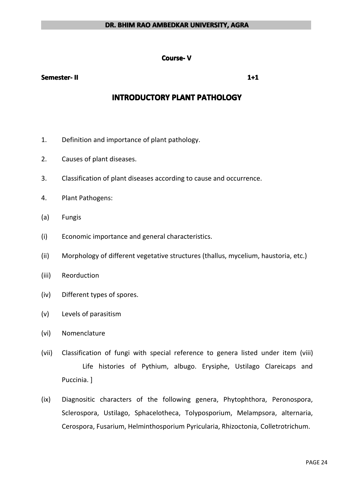#### **Course- V**

#### **Semester- Semester- Semester-II 1+1**

## **INTRODUCTORY PLANT PATHOLOGY**

- 1. Definition and importance of plant pathology.
- 2. Causes of plant diseases.
- 3. Classification of plant diseases according to cause and occurrence.
- 4. Plant Pathogens:
- (a) Fungis
- (i) Economic importance and general characteristics.
- (ii) Morphology of different vegetative structures (thallus, mycelium, haustoria, etc.)
- (iii) Reorduction
- (iv) Different types of spores.
- (v) Levels of parasitism
- (vi) Nomenclature
- (vii) Classification of fungi with special reference to genera listed under item (viii) Life histories of Pythium, albugo. Erysiphe, Ustilago Clareicaps and Puccinia. ]
- (ix) Diagnositic characters of the following genera, Phytophthora, Peronospora, Sclerospora, Ustilago, Sphacelotheca, Tolyposporium, Melampsora, alternaria, Cerospora, Fusarium, Helminthosporium Pyricularia, Rhizoctonia, Colletrotrichum.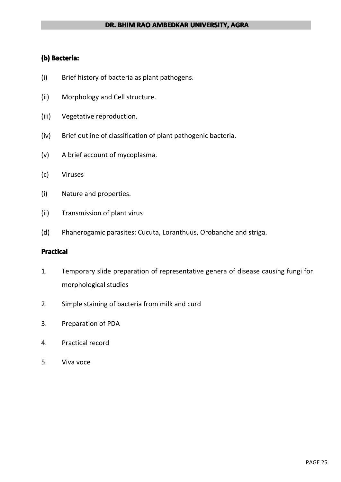## **(b) Bacteria: Bacteria:**

- (i) Brief history of bacteria as plant pathogens.
- (ii) Morphology and Cell structure.
- (iii) Vegetative reproduction.
- (iv) Brief outline of classification of plant pathogenic bacteria.
- (v) A brief account of mycoplasma.
- (c) Viruses
- (i) Nature and properties.
- (ii) Transmission of plant virus
- (d) Phanerogamic parasites: Cucuta, Loranthuus, Orobanche and striga.

#### **Practical Practical**

- 1. Temporary slide preparation of representative genera of disease causing fungi for morphological studies
- 2. Simple staining of bacteria from milk and curd
- 3. Preparation of PDA
- 4. Practical record
- 5. Viva voce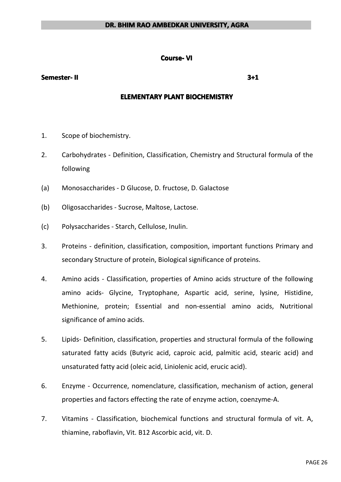#### **Course- Course-Course-VI**

#### **Semester- Semester- Semester-II 3+1**

#### **ELEMENTARY PLANT BIOCHEMISTRY**

- 1. Scope of biochemistry.
- 2. Carbohydrates Definition, Classification, Chemistry and Structural formula of the following
- (a) Monosaccharides D Glucose, D. fructose, D. Galactose
- (b) Oligosaccharides Sucrose, Maltose, Lactose.
- (c) Polysaccharides Starch, Cellulose, Inulin.
- 3. Proteins definition, classification, composition, important functions Primary and secondary Structure of protein, Biological significance of proteins.
- 4. Amino acids Classification, properties of Amino acids structure of the following amino acids- Glycine, Tryptophane, Aspartic acid, serine, lysine, Histidine, Methionine, protein; Essential and non-essential amino acids, Nutritional significance of amino acids.
- 5. Lipids- Definition, classification, properties and structural formula of the following saturated fatty acids (Butyric acid, caproic acid, palmitic acid, stearic acid) and unsaturated fatty acid (oleic acid, Liniolenic acid, erucic acid).
- 6. Enzyme Occurrence, nomenclature, classification, mechanism of action, general properties and factors effecting the rate of enzyme action, coenzyme-A.
- 7. Vitamins Classification, biochemical functions and structural formula of vit. A, thiamine, raboflavin, Vit. B12 Ascorbic acid, vit. D.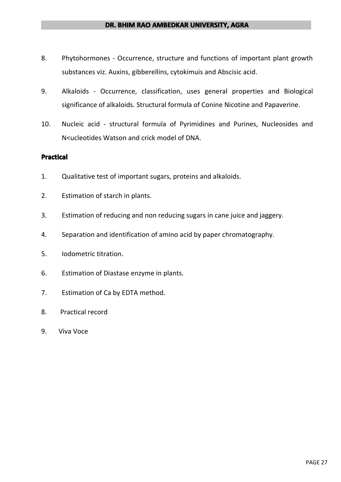- 8. Phytohormones Occurrence, structure and functions of important plant growth substances viz. Auxins, gibberellins, cytokimuis and Abscisic acid.
- 9. Alkaloids Occurrence, classification, uses general properties and Biological significance of alkaloids. Structural formula of Conine Nicotine and Papaverine.
- 10. Nucleic acid structural formula of Pyrimidines and Purines, Nucleosides and N<ucleotides Watson and crick model of DNA.

#### **Practical Practical Practical**

- 1. Qualitative test of important sugars, proteins and alkaloids.
- 2. Estimation of starch in plants.
- 3. Estimation of reducing and non reducing sugars in cane juice and jaggery.
- 4. Separation and identification of amino acid by paper chromatography.
- 5. Iodometric titration.
- 6. Estimation of Diastase enzyme in plants.
- 7. Estimation of Ca by EDTA method.
- 8. Practical record
- 9. Viva Voce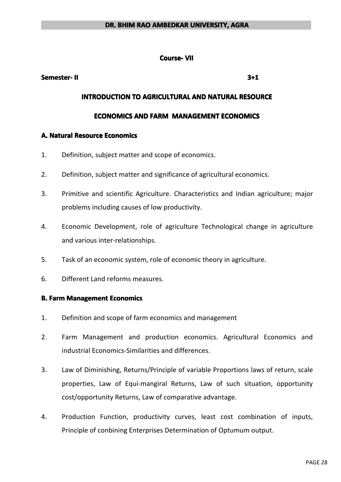#### **Course- Course-VII**

#### **Semester- Semester- Semester-II 3+1**

#### **INTRODUCTION INTRODUCTION INTRODUCTIONTO AGRICULTURAL AGRICULTURAL AGRICULTURALAND NATURAL NATURAL RESOURCE RESOURCE**

#### **ECONOMICS ECONOMICSAND FARM MANAGEMENT MANAGEMENT ECONOMICS ECONOMICS**

#### **A. Natural Resource Economics**

- 1. Definition, subject matter and scope of economics.
- 2. Definition, subject matter and significance of agricultural economics.
- 3. Primitive and scientific Agriculture. Characteristics and Indian agriculture; major problems including causes of low productivity.
- 4. Economic Development, role of agriculture Technological change in agriculture and various inter-relationships.
- 5. Task of an economic system, role of economic theory in agriculture.
- 6. Different Land reforms measures.

#### **B.** Farm Management Economics

- 1. Definition and scope of farm economics and management
- 2. Farm Management and production economics. Agricultural Economics and industrial Economics-Similarities and differences.
- 3. Law of Diminishing, Returns/Principle of variable Proportions laws of return, scale properties, Law of Equi-mangiral Returns, Law of such situation, opportunity cost/opportunity Returns, Law of comparative advantage.
- 4. Production Function, productivity curves, least cost combination of inputs, Principle of conbining Enterprises Determination of Optumum output.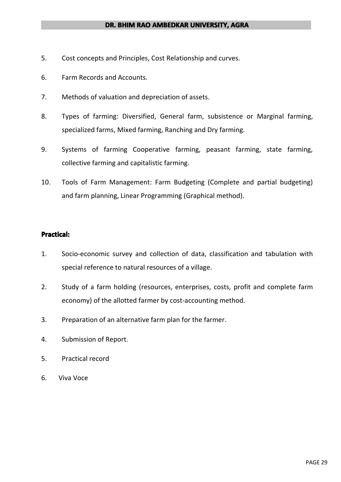- 5. Cost concepts and Principles, Cost Relationship and curves.
- 6. Farm Records and Accounts.
- 7. Methods of valuation and depreciation of assets.
- 8. Types of farming: Diversified, General farm, subsistence or Marginal farming, specialized farms, Mixed farming, Ranching and Dry farming.
- 9. Systems of farming Cooperative farming, peasant farming, state farming, collective farming and capitalistic farming.
- 10. Tools of Farm Management: Farm Budgeting (Complete and partial budgeting) and farm planning, Linear Programming (Graphical method).

#### **Practical:**

- 1. Socio-economic survey and collection of data, classification and tabulation with special reference to natural resources of <sup>a</sup> village.
- 2. Study of <sup>a</sup> farm holding (resources, enterprises, costs, profit and complete farm economy) of the allotted farmer by cost-accounting method.
- 3. Preparation of an alternative farm plan for the farmer.
- 4. Submission of Report.
- 5. Practical record
- 6. Viva Voce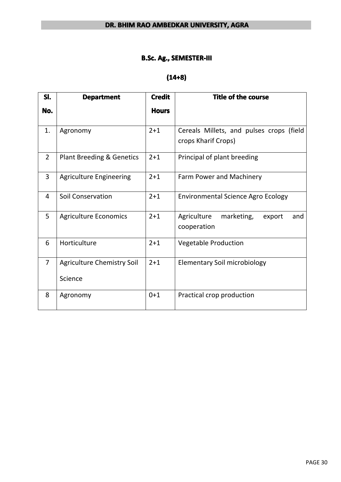#### **B.Sc. Ag., SEMESTER-III**

## **(14+8)**

| SI.            | <b>Department</b>                    | <b>Credit</b> | <b>Title of the course</b>                                      |
|----------------|--------------------------------------|---------------|-----------------------------------------------------------------|
| No.            |                                      | <b>Hours</b>  |                                                                 |
| 1.             | Agronomy                             | $2 + 1$       | Cereals Millets, and pulses crops (field<br>crops Kharif Crops) |
| $\overline{2}$ | <b>Plant Breeding &amp; Genetics</b> | $2 + 1$       | Principal of plant breeding                                     |
| 3              | <b>Agriculture Engineering</b>       | $2 + 1$       | Farm Power and Machinery                                        |
| $\overline{4}$ | <b>Soil Conservation</b>             | $2 + 1$       | <b>Environmental Science Agro Ecology</b>                       |
| 5              | <b>Agriculture Economics</b>         | $2 + 1$       | marketing,<br>Agriculture<br>export<br>and<br>cooperation       |
| 6              | Horticulture                         | $2 + 1$       | <b>Vegetable Production</b>                                     |
| $\overline{7}$ | <b>Agriculture Chemistry Soil</b>    | $2 + 1$       | <b>Elementary Soil microbiology</b>                             |
|                | Science                              |               |                                                                 |
| 8              | Agronomy                             | $0+1$         | Practical crop production                                       |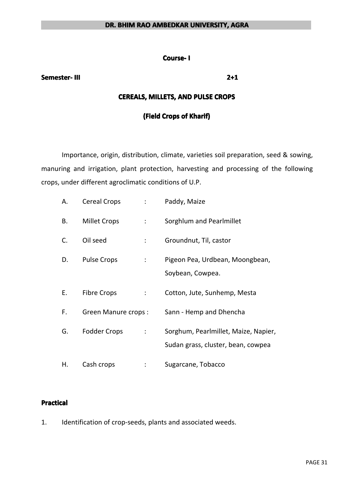#### **Course- I**

#### **Semester- Semester- Semester-III 2+1**

#### **CEREALS, CEREALS, MILLETS, MILLETS, AND PULSE CROPS**

#### **(Field Crops of Kharif)**

Importance, origin, distribution, climate, varieties soil preparation, seed & sowing, manuring and irrigation, plant protection, harvesting and processing of the following crops, under different agroclimatic conditions of U.P.

| Α. | <b>Cereal Crops</b>        | $\mathcal{L}^{\text{max}}$  | Paddy, Maize                                                               |
|----|----------------------------|-----------------------------|----------------------------------------------------------------------------|
| В. | <b>Millet Crops</b>        | $\mathbb{Z}^{\mathbb{Z}}$   | Sorghlum and Pearlmillet                                                   |
| C. | Oil seed                   | ÷                           | Groundnut, Til, castor                                                     |
| D. | <b>Pulse Crops</b>         | $\ddot{\phantom{a}}$        | Pigeon Pea, Urdbean, Moongbean,<br>Soybean, Cowpea.                        |
| Е. | <b>Fibre Crops</b>         | $\mathbb{Z}^{\mathbb{Z}}$   | Cotton, Jute, Sunhemp, Mesta                                               |
| F. | <b>Green Manure crops:</b> |                             | Sann - Hemp and Dhencha                                                    |
| G. | Fodder Crops               | $\mathbb{Z}^{\mathbb{Z}^n}$ | Sorghum, Pearlmillet, Maize, Napier,<br>Sudan grass, cluster, bean, cowpea |
| Η. | Cash crops                 |                             | Sugarcane, Tobacco                                                         |

#### **Practical Practical**

1. Identification of crop-seeds, plants and associated weeds.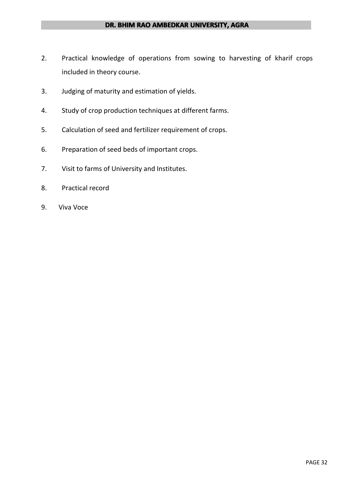- 2. Practical knowledge of operations from sowing to harvesting of kharif crops included in theory course.
- 3. Judging of maturity and estimation of yields.
- 4. Study of crop production techniques at different farms.
- 5. Calculation of seed and fertilizer requirement of crops.
- 6. Preparation of seed beds of important crops.
- 7. Visit to farms of University and Institutes.
- 8. Practical record
- 9. Viva Voce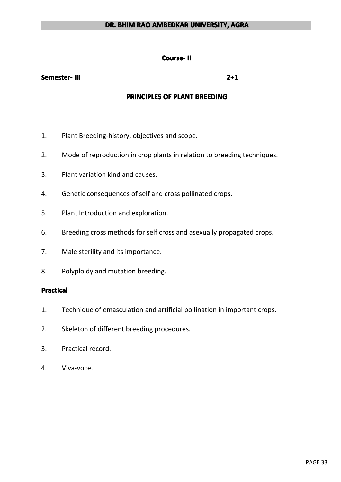#### **Course- Course-II**

#### **Semester- Semester- Semester-III 2+1**

#### **PRINCIPLES PRINCIPLES PRINCIPLESPRINCIPLESOF PLANT BREEDING BREEDING**

- 1. Plant Breeding-history, objectives and scope.
- 2. Mode of reproduction in crop plants in relation to breeding techniques.
- 3. Plant variation kind and causes.
- 4. Genetic consequences of self and cross pollinated crops.
- 5. Plant Introduction and exploration.
- 6. Breeding cross methods for self cross and asexually propagated crops.
- 7. Male sterility and its importance.
- 8. Polyploidy and mutation breeding.

#### **Practical Practical Practical Practical**

- 1. Technique of emasculation and artificial pollination in important crops.
- 2. Skeleton of different breeding procedures.
- 3. Practical record.
- 4. Viva-voce.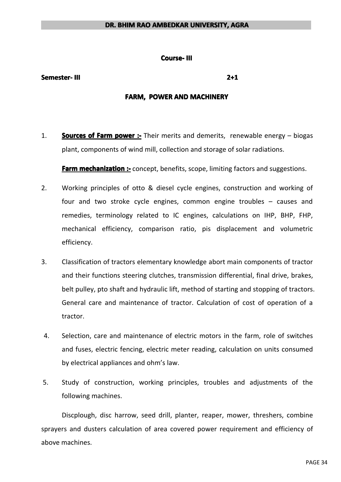#### **Course- III**

#### **Semester- Semester- Semester-III 2+1**

#### **FARM, POWER AND MACHINERY**

1. **Sources of Farm power** :- Their merits and demerits, renewable energy – biogas plant, components of wind mill, collection and storage of solar radiations.

**Farm mechanization :-** concept, benefits, scope, limiting factors and suggestions.

- 2. Working principles of otto & diesel cycle engines, construction and working of four and two stroke cycle engines, common engine troubles – causes and remedies, terminology related to IC engines, calculations on IHP, BHP, FHP, mechanical efficiency, comparison ratio, pis displacement and volumetric efficiency.
- 3. Classification of tractors elementary knowledge abort main components of tractor and their functions steering clutches, transmission differential, final drive, brakes, belt pulley, pto shaft and hydraulic lift, method of starting and stopping of tractors. General care and maintenance of tractor. Calculation of cost of operation of <sup>a</sup> tractor.
- 4. Selection, care and maintenance of electric motors in the farm, role of switches and fuses, electric fencing, electric meter reading, calculation on units consumed by electrical appliances and ohm's law.
- 5. Study of construction, working principles, troubles and adjustments of the following machines.

Discplough, disc harrow, seed drill, planter, reaper, mower, threshers, combine sprayers and dusters calculation of area covered power requirement and efficiency of above machines.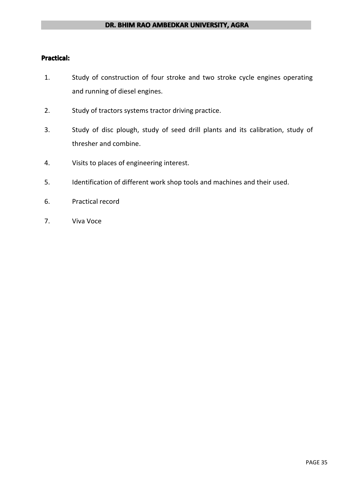#### **Practical:**

- 1. Study of construction of four stroke and two stroke cycle engines operating and running of diesel engines.
- 2. Study of tractors systems tractor driving practice.
- 3. Study of disc plough, study of seed drill plants and its calibration, study of thresher and combine.
- 4. Visits to places of engineering interest.
- 5. Identification of different work shop tools and machines and their used.
- 6. Practical record
- 7. Viva Voce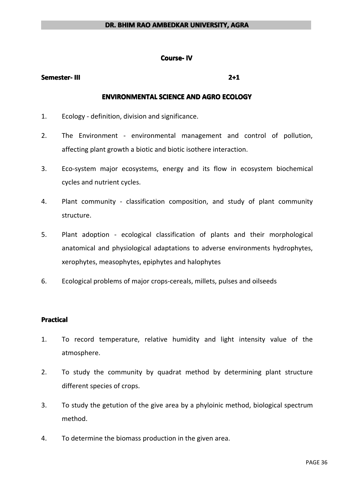#### **Course-IV**

#### **Semester- Semester- Semester-III 2+1**

#### **ENVIRONMENTAL ENVIRONMENTAL SCIENCE SCIENCE AND AGRO ECOLOGY ECOLOGY ECOLOGY ECOLOGY**

- 1. Ecology definition, division and significance.
- 2. The Environment environmental management and control of pollution, affecting plant growth <sup>a</sup> biotic and biotic isothere interaction.
- 3. Eco-system major ecosystems, energy and its flow in ecosystem biochemical cycles and nutrient cycles.
- 4. Plant community classification composition, and study of plant community structure.
- 5. Plant adoption ecological classification of plants and their morphological anatomical and physiological adaptations to adverse environments hydrophytes, xerophytes, measophytes, epiphytes and halophytes
- 6. Ecological problems of major crops-cereals, millets, pulses and oilseeds

#### **Practical Practical**

- 1. To record temperature, relative humidity and light intensity value of the atmosphere.
- 2. To study the community by quadrat method by determining plant structure different species of crops.
- 3. To study the getution of the give area by <sup>a</sup> phyloinic method, biological spectrum method.
- 4. To determine the biomass production in the given area.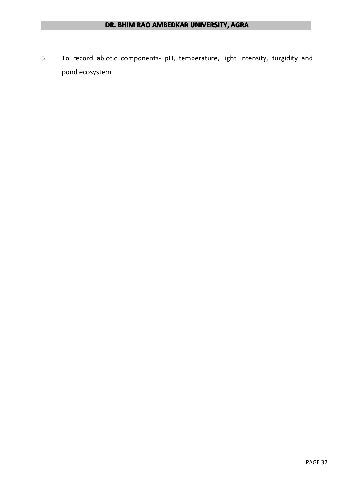5. To record abiotic components- pH, temperature, light intensity, turgidity and pond ecosystem.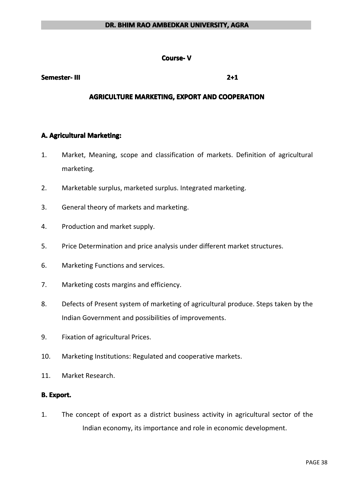#### **Course- V**

#### **Semester- Semester- Semester-III 2+1**

#### **AGRICULTURE MARKETING, EXPORT AND COOPERATION**

#### **A. Agricultural Marketing:**

- 1. Market, Meaning, scope and classification of markets. Definition of agricultural marketing.
- 2. Marketable surplus, marketed surplus. Integrated marketing.
- 3. General theory of markets and marketing.
- 4. Production and market supply.
- 5. Price Determination and price analysis under different market structures.
- 6. Marketing Functions and services.
- 7. Marketing costs margins and efficiency.
- 8. Defects of Present system of marketing of agricultural produce. Steps taken by the Indian Government and possibilities of improvements.
- 9. Fixation of agricultural Prices.
- 10. Marketing Institutions: Regulated and cooperative markets.
- 11. Market Research.

#### **B. Export.**

1. The concept of export as adistrict business activity in agricultural sector of the Indian economy, its importance and role in economic development.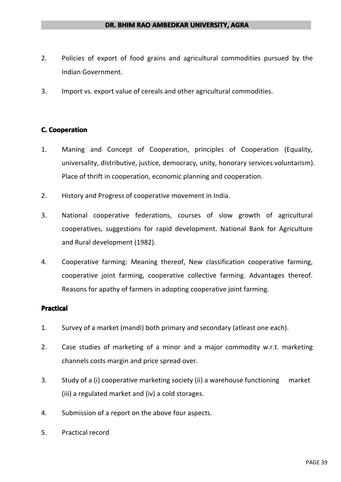- 2. Policies of export of food grains and agricultural commodities pursued by the Indian Government.
- 3. Import vs. export value of cereals and other agricultural commodities.

## **C. Cooperation**

- 1. Maning and Concept of Cooperation, principles of Cooperation (Equality, universality, distributive, justice, democracy, unity, honorary services voluntarism). Place of thrift in cooperation, economic planning and cooperation.
- 2. History and Progress of cooperative movement in India.
- 3. National cooperative federations, courses of slow growth of agricultural cooperatives, suggestions for rapid development. National Bank for Agriculture and Rural development (1982).
- 4. Cooperative farming: Meaning thereof, New classification cooperative farming, cooperative joint farming, cooperative collective farming. Advantages thereof. Reasons for apathy of farmers in adopting cooperative joint farming.

- 1. Survey of <sup>a</sup> market (mandi) both primary and secondary (atleast one each).
- 2. Case studies of marketing of <sup>a</sup> minor and <sup>a</sup> major commodity w.r.t. marketing channels costs margin and price spread over.
- 3. Study of <sup>a</sup> (i) cooperative marketing society (ii) <sup>a</sup> warehouse functioning market (iii) a regulated market and (iv) a cold storages.
- 4. Submission of <sup>a</sup> report on the above four aspects.
- 5. Practical record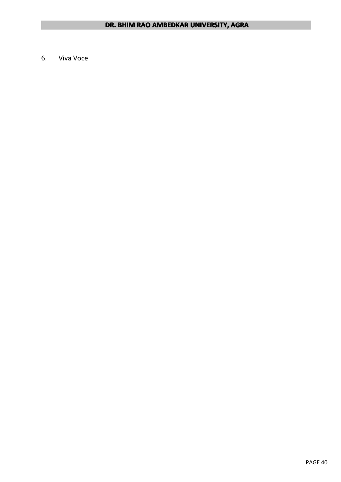6. Viva Voce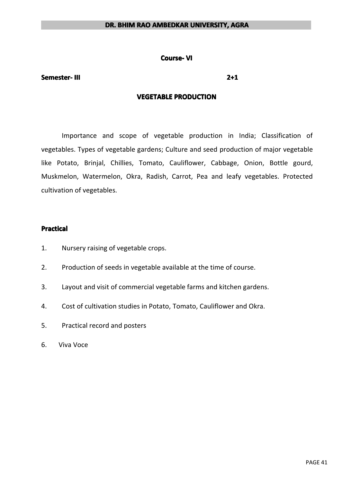#### **Course-VI**

#### **Semester- Semester- Semester-III 2+1**

#### **VEGETABLE VEGETABLE VEGETABLEVEGETABLEPRODUCTION PRODUCTION**

Importance and scope of vegetable production in India; Classification of vegetables. Types of vegetable gardens; Culture and seed production of major vegetable like Potato, Brinjal, Chillies, Tomato, Cauliflower, Cabbage, Onion, Bottle gourd, Muskmelon, Watermelon, Okra, Radish, Carrot, Pea and leafy vegetables. Protected cultivation of vegetables.

- 1. Nursery raising of vegetable crops.
- 2. Production of seeds in vegetable available at the time of course.
- 3. Layout and visit of commercial vegetable farms and kitchen gardens.
- 4. Cost of cultivation studies in Potato, Tomato, Cauliflower and Okra.
- 5. Practical record and posters
- 6. Viva Voce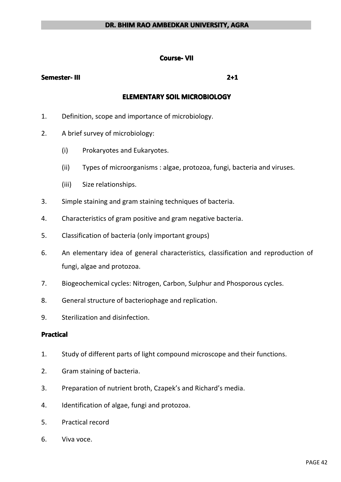#### **Course- Course-VII**

#### **Semester- Semester- Semester-III 2+1**

#### **ELEMENTARY ELEMENTARY ELEMENTARYELEMENTARYSOIL MICROBIOLOGY MICROBIOLOGY MICROBIOLOGYMICROBIOLOGY**

- 1. Definition, scope and importance of microbiology.
- 2. A brief survey of microbiology:
	- (i) Prokaryotes and Eukaryotes.
	- (ii) Types of microorganisms : algae, protozoa, fungi, bacteria and viruses.
	- (iii) Size relationships.
- 3. Simple staining and gram staining techniques of bacteria.
- 4. Characteristics of gram positive and gram negative bacteria.
- 5. Classification of bacteria (only important groups)
- 6. An elementary idea of general characteristics, classification and reproduction of fungi, algae and protozoa.
- 7. Biogeochemical cycles: Nitrogen, Carbon, Sulphur and Phosporous cycles.
- 8. General structure of bacteriophage and replication.
- 9. Sterilization and disinfection.

#### **Practical Practical Practical**

- 1. Study of different parts of light compound microscope and their functions.
- 2. Gram staining of bacteria.
- 3. Preparation of nutrient broth, Czapek's and Richard's media.
- 4. Identification of algae, fungi and protozoa.
- 5. Practical record
- 6. Viva voce.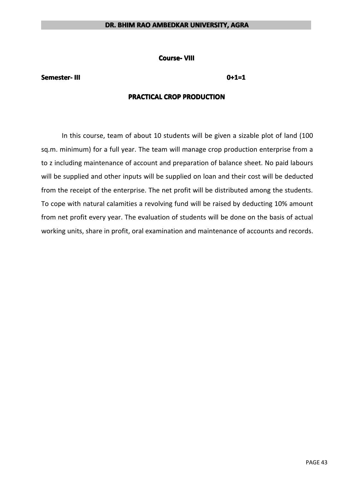**Course- VIII**

#### **Semester- Semester- Semester-III 0+1=1**

#### **PRACTICAL PRACTICAL CROP PRODUCTION PRODUCTION**

In this course, team of about 10 students will be given <sup>a</sup> sizable plot of land (100 sq.m. minimum) for <sup>a</sup> full year. The team will manage crop production enterprise from <sup>a</sup> to z including maintenance of account and preparation of balance sheet. No paid labours will be supplied and other inputs will be supplied on loan and their cost will be deducted from the receipt of the enterprise. The net profit will be distributed among the students. To cope with natural calamities <sup>a</sup> revolving fund will be raised by deducting 10% amount from net profit every year. The evaluation of students will be done on the basis of actual working units, share in profit, oral examination and maintenance of accounts and records.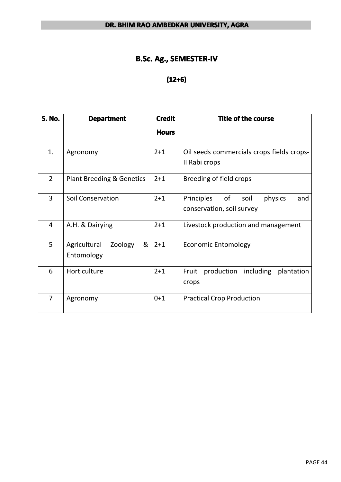# **B.Sc. Ag., SEMESTER-IV**

## **(12+6)**

| <b>S. No.</b>  | <b>Department</b>                                       | <b>Credit</b><br><b>Hours</b> | <b>Title of the course</b>                                              |
|----------------|---------------------------------------------------------|-------------------------------|-------------------------------------------------------------------------|
| 1.             | Agronomy                                                | $2 + 1$                       | Oil seeds commercials crops fields crops-<br>Il Rabi crops              |
| $\overline{2}$ | Plant Breeding & Genetics                               | $2 + 1$                       | Breeding of field crops                                                 |
| 3              | <b>Soil Conservation</b>                                | $2 + 1$                       | Principles<br>of<br>physics<br>soil<br>and<br>conservation, soil survey |
| $\overline{4}$ | A.H. & Dairying                                         | $2 + 1$                       | Livestock production and management                                     |
| 5              | 8 <sub>1</sub><br>Agricultural<br>Zoology<br>Entomology | $2 + 1$                       | <b>Economic Entomology</b>                                              |
| 6              | Horticulture                                            | $2 + 1$                       | production<br>including<br>Fruit<br>plantation<br>crops                 |
| $\overline{7}$ | Agronomy                                                | $0 + 1$                       | <b>Practical Crop Production</b>                                        |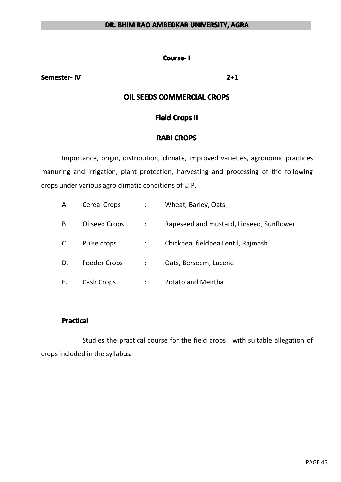#### **Course- I**

#### **Semester- Semester- Semester-IV 2+1**

## **OIL SEEDS COMMERCIAL COMMERCIAL CROPS**

## **Field Crops II**

## **RABI CROPS**

Importance, origin, distribution, climate, improved varieties, agronomic practices manuring and irrigation, plant protection, harvesting and processing of the following crops under various agro climatic conditions of U.P.

| А. | <b>Cereal Crops</b>  | Wheat, Barley, Oats                      |
|----|----------------------|------------------------------------------|
| В. | <b>Oilseed Crops</b> | Rapeseed and mustard, Linseed, Sunflower |
|    | Pulse crops          | Chickpea, fieldpea Lentil, Rajmash       |
| D. | <b>Fodder Crops</b>  | Oats, Berseem, Lucene                    |
| Е. | Cash Crops           | Potato and Mentha                        |

#### **Practical Practical Practical Practical**

Studies the practical course for the field crops I with suitable allegation of crops included in the syllabus.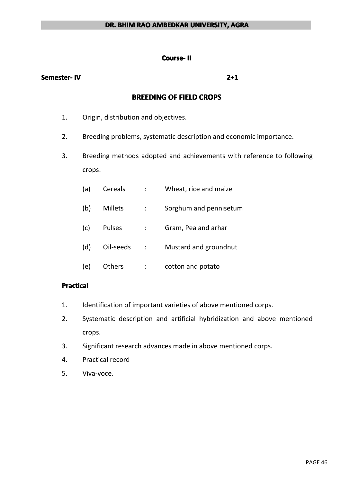#### **Course- Course-II**

#### **Semester- Semester- Semester-IV 2+1**

## **BREEDING BREEDING BREEDINGBREEDINGOF FIELD CROPS**

- 1. Origin, distribution and objectives.
- 2. Breeding problems, systematic description and economic importance.
- 3. Breeding methods adopted and achievements with reference to following crops:
	- (a) Cereals : Wheat, rice and maize
	- (b) Millets : Sorghum and pennisetum
	- (c) Pulses : Gram, Pea and arhar
	- (d) Oil-seeds : Mustard and groundnut
	- (e) Others : cotton and potato

#### **Practical PracticalPractical Practical**

- 1. Identification of important varieties of above mentioned corps.
- 2. Systematic description and artificial hybridization and above mentioned crops.
- 3. Significant research advances made in above mentioned corps.
- 4. Practical record
- 5. Viva-voce.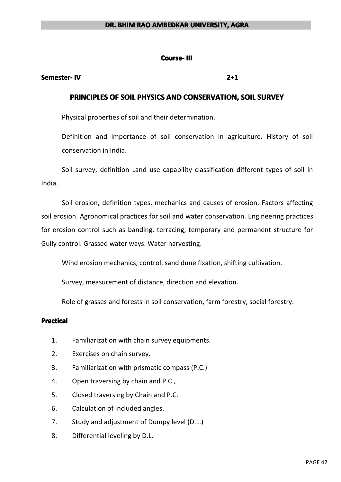#### **Course- III**

#### **Semester- Semester- Semester-IV 2+1**

## **PRINCIPLES PRINCIPLES OF SOIL PHYSICS PHYSICS PHYSICS PHYSICS AND CONSERVATION, CONSERVATION, SOIL SURVEY**

Physical properties of soil and their determination.

Definition and importance of soil conservation in agriculture. History of soil conservation in India.

Soil survey, definition Land use capability classification different types of soil in India.

Soil erosion, definition types, mechanics and causes of erosion. Factors affecting soil erosion. Agronomical practices for soil and water conservation. Engineering practices for erosion control such as banding, terracing, temporary and permanent structure for Gully control. Grassed water ways. Water harvesting.

Wind erosion mechanics, control, sand dune fixation, shifting cultivation.

Survey, measurement of distance, direction and elevation.

Role of grasses and forests in soil conservation, farm forestry, social forestry.

### **Practical Practical Practical**

- 1. Familiarization with chain survey equipments.
- 2. Exercises on chain survey.
- 3. Familiarization with prismatic compass (P.C.)
- 4. Open traversing by chain and P.C.,
- 5. Closed traversing by Chain and P.C.
- 6. Calculation of included angles.
- 7. Study and adjustment of Dumpy level (D.L.)
- 8. Differential leveling by D.L.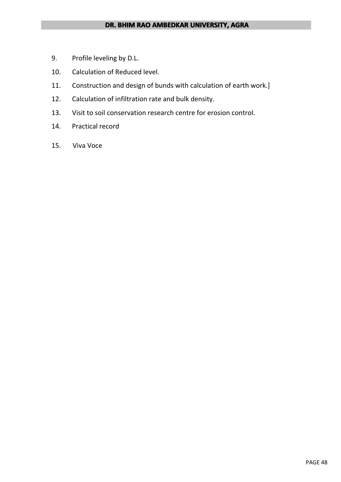- 9. Profile leveling by D.L.
- 10. Calculation of Reduced level.
- 11. Construction and design of bunds with calculation of earth work.]
- 12. Calculation of infiltration rate and bulk density.
- 13. Visit to soil conservation research centre for erosion control.
- 14. Practical record
- 15. Viva Voce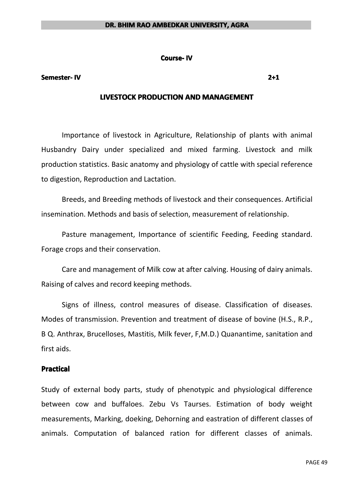#### **Course-IV**

#### **Semester- Semester- Semester-IV 2+1**

## **LIVESTOCK PRODUCTION AND MANAGEMENT**

Importance of livestock in Agriculture, Relationship of plants with animal Husbandry Dairy under specialized and mixed farming. Livestock and milk production statistics. Basic anatomy and physiology of cattle with special reference to digestion, Reproduction and Lactation.

Breeds, and Breeding methods of livestock and their consequences. Artificial insemination. Methods and basis of selection, measurement of relationship.

Pasture management, Importance of scientific Feeding, Feeding standard. Forage crops and their conservation.

Care and management of Milk cow at after calving. Housing of dairy animals. Raising of calves and record keeping methods.

Signs of illness, control measures of disease. Classification of diseases. Modes of transmission. Prevention and treatment of disease of bovine (H.S., R.P., B Q. Anthrax, Brucelloses, Mastitis, Milk fever, F,M.D.) Quanantime, sanitation and first aids.

### **Practical Practical**

Study of external body parts, study of phenotypic and physiological difference between cow and buffaloes. Zebu Vs Taurses. Estimation of body weight measurements, Marking, doeking, Dehorning and eastration of different classes of animals. Computation of balanced ration for different classes of animals.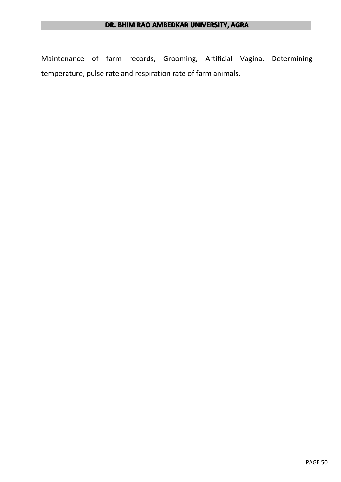Maintenance of farm records, Grooming, Artificial Vagina. Determining temperature, pulse rate and respiration rate of farm animals.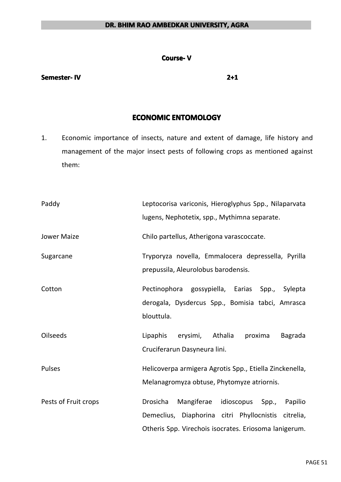#### **Course- V**

#### **Semester- Semester- Semester-IV 2+1**

## **ECONOMIC ENTOMOLOGY**

1. Economic importance of insects, nature and extent of damage, life history and management of the major insect pests of following crops as mentioned against them:

| Paddy                | Leptocorisa variconis, Hieroglyphus Spp., Nilaparvata<br>lugens, Nephotetix, spp., Mythimna separate.                                                                    |
|----------------------|--------------------------------------------------------------------------------------------------------------------------------------------------------------------------|
| <b>Jower Maize</b>   | Chilo partellus, Atherigona varascoccate.                                                                                                                                |
| Sugarcane            | Tryporyza novella, Emmalocera depressella, Pyrilla<br>prepussila, Aleurolobus barodensis.                                                                                |
| Cotton               | Pectinophora gossypiella, Earias<br>Spp.,<br>Sylepta<br>derogala, Dysdercus Spp., Bomisia tabci, Amrasca<br>blouttula.                                                   |
| <b>Oilseeds</b>      | Lipaphis<br>Athalia<br>erysimi,<br>proxima<br>Bagrada<br>Cruciferarun Dasyneura lini.                                                                                    |
| <b>Pulses</b>        | Helicoverpa armigera Agrotis Spp., Etiella Zinckenella,<br>Melanagromyza obtuse, Phytomyze atriornis.                                                                    |
| Pests of Fruit crops | Mangiferae<br>idioscopus<br>Drosicha<br>Spp.,<br>Papilio<br>Demeclius, Diaphorina citri Phyllocnistis citrelia,<br>Otheris Spp. Virechois isocrates. Eriosoma lanigerum. |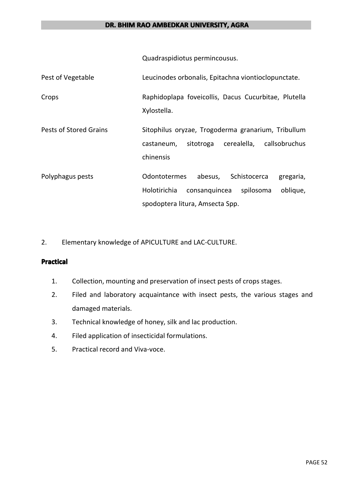Quadraspidiotus permincousus.

| Pest of Vegetable             | Leucinodes orbonalis, Epitachna viontioclopunctate.                 |
|-------------------------------|---------------------------------------------------------------------|
| Crops                         | Raphidoplapa foveicollis, Dacus Cucurbitae, Plutella<br>Xylostella. |
| <b>Pests of Stored Grains</b> | Sitophilus oryzae, Trogoderma granarium, Tribullum                  |
|                               | cerealella,<br>callsobruchus<br>sitotroga<br>castaneum,             |
|                               | chinensis                                                           |
| Polyphagus pests              | <b>Odontotermes</b><br>abesus,<br>Schistocerca<br>gregaria,         |
|                               | Holotirichia<br>consanguincea<br>spilosoma<br>oblique,              |
|                               | spodoptera litura, Amsecta Spp.                                     |

2. Elementary knowledge of APICULTURE and LAC-CULTURE.

## **Practical Practical Practical Practical**

- 1. Collection, mounting and preservation of insect pests of crops stages.
- 2. Filed and laboratory acquaintance with insect pests, the various stages and damaged materials.
- 3. Technical knowledge of honey, silk and lac production.
- 4. Filed application of insecticidal formulations.
- 5. Practical record and Viva-voce.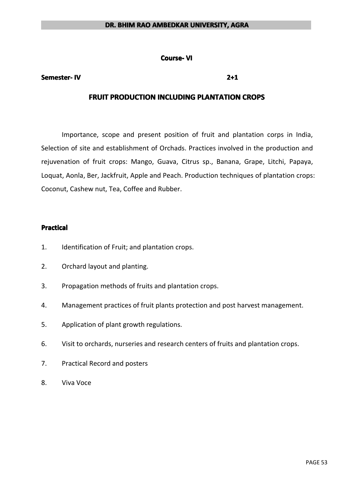#### **Course-VI**

#### **Semester- Semester- Semester-IV 2+1**

## **FRUIT PRODUCTION INCLUDING PLANTATION CROPS**

Importance, scope and present position of fruit and plantation corps in India, Selection of site and establishment of Orchads. Practices involved in the production and rejuvenation of fruit crops: Mango, Guava, Citrus sp., Banana, Grape, Litchi, Papaya, Loquat, Aonla, Ber, Jackfruit, Apple and Peach. Production techniques of plantation crops: Coconut, Cashew nut, Tea, Coffee and Rubber.

- 1. Identification of Fruit; and plantation crops.
- 2. Orchard layout and planting.
- 3. Propagation methods of fruits and plantation crops.
- 4. Management practices of fruit plants protection and post harvest management.
- 5. Application of plant growth regulations.
- 6. Visit to orchards, nurseries and research centers of fruits and plantation crops.
- 7. Practical Record and posters
- 8. Viva Voce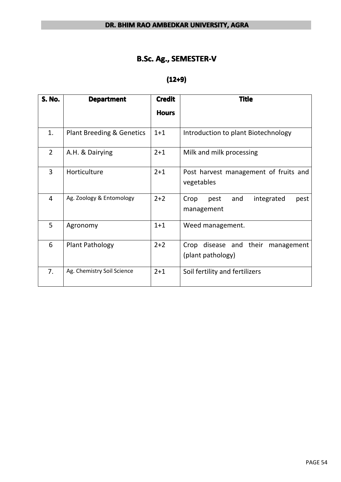# **B.Sc. Ag., SEMESTER-V**

## **(12+9)**

| <b>S. No.</b>  | <b>Department</b>                    | <b>Credit</b> | <b>Title</b>                                              |
|----------------|--------------------------------------|---------------|-----------------------------------------------------------|
|                |                                      | <b>Hours</b>  |                                                           |
| 1.             | <b>Plant Breeding &amp; Genetics</b> | $1 + 1$       | Introduction to plant Biotechnology                       |
| $\overline{2}$ | A.H. & Dairying                      | $2 + 1$       | Milk and milk processing                                  |
| 3              | Horticulture                         | $2 + 1$       | Post harvest management of fruits and<br>vegetables       |
| $\overline{4}$ | Ag. Zoology & Entomology             | $2+2$         | and<br>integrated<br>Crop<br>pest<br>pest<br>management   |
| 5              | Agronomy                             | $1 + 1$       | Weed management.                                          |
| 6              | <b>Plant Pathology</b>               | $2 + 2$       | Crop disease and their<br>management<br>(plant pathology) |
| 7.             | Ag. Chemistry Soil Science           | $2 + 1$       | Soil fertility and fertilizers                            |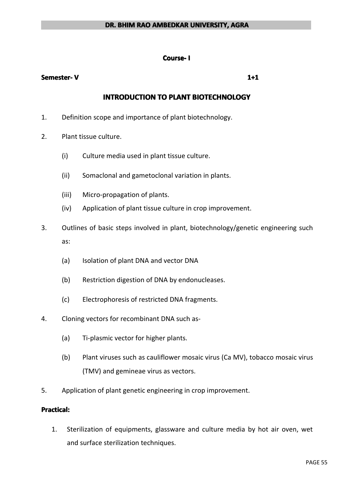## **Course- I**

## **Semester- Semester- Semester-V 1+1**

## **INTRODUCTION TO PLANT BIOTECHNOLOGY**

- 1. Definition scope and importance of plant biotechnology.
- 2. Plant tissue culture.
	- (i) Culture media used in plant tissue culture.
	- (ii) Somaclonal and gametoclonal variation in plants.
	- (iii) Micro-propagation of plants.
	- (iv) Application of plant tissue culture in crop improvement.
- 3. Outlines of basic steps involved in plant, biotechnology/genetic engineering such as:
	- (a) Isolation of plant DNA and vector DNA
	- (b) Restriction digestion of DNA by endonucleases.
	- (c) Electrophoresis of restricted DNA fragments.
- 4. Cloning vectors for recombinant DNA such as-
	- (a) Ti-plasmic vector for higher plants.
	- (b) Plant viruses such as cauliflower mosaic virus (Ca MV), tobacco mosaic virus (TMV) and gemineae virus as vectors.
- 5. Application of plant genetic engineering in crop improvement.

### **Practical:**

1. Sterilization of equipments, glassware and culture media by hot air oven, wet and surface sterilization techniques.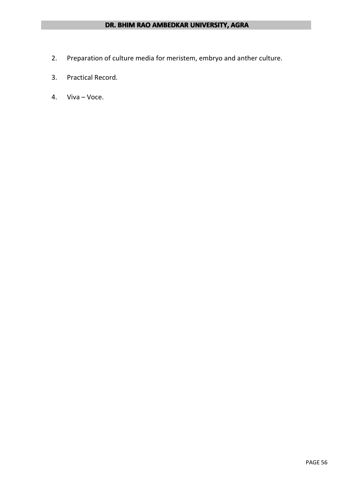- 2. Preparation of culture media for meristem, embryo and anther culture.
- 3. Practical Record.
- 4. Viva Voce.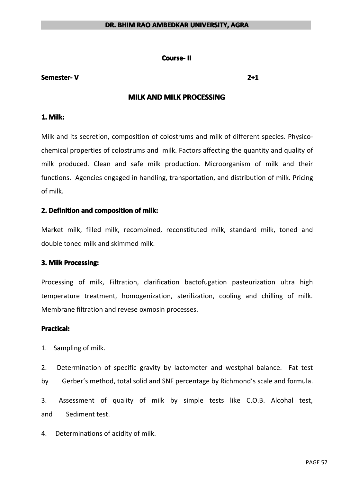#### **Course- Course-II**

#### **Semester- Semester- Semester-V 2+1**

## **MILK AND MILK PROCESSING**

#### **1. Milk:**

Milk and its secretion, composition of colostrums and milk of different species. Physicochemical properties of colostrums and milk. Factors affecting the quantity and quality of milk produced. Clean and safe milk production. Microorganism of milk and their functions. Agencies engaged in handling, transportation, and distribution of milk. Pricing of milk.

### **2. Definition and composition composition of milk:**

Market milk, filled milk, recombined, reconstituted milk, standard milk, toned and double toned milk and skimmed milk.

### **3. Milk Processing: Processing:**

Processing of milk, Filtration, clarification bactofugation pasteurization ultra high temperature treatment, homogenization, sterilization, cooling and chilling of milk. Membrane filtration and revese oxmosin processes.

#### **Practical: Practical:**

1. Sampling of milk.

2. Determination of specific gravity by lactometer and westphal balance. Fat test by Gerber's method, total solid and SNF percentage by Richmond's scale and formula.

3. Assessment of quality of milk by simple tests like C.O.B. Alcohal test, and Sediment test.

4. Determinations of acidity of milk.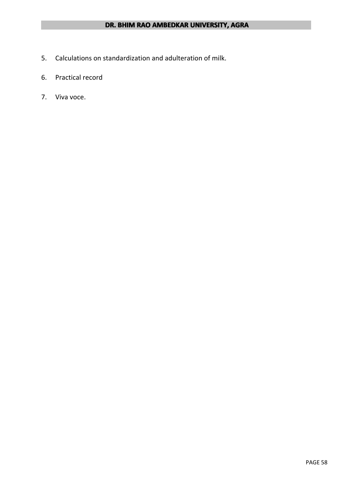- 5. Calculations on standardization and adulteration of milk.
- 6. Practical record
- 7. Viva voce.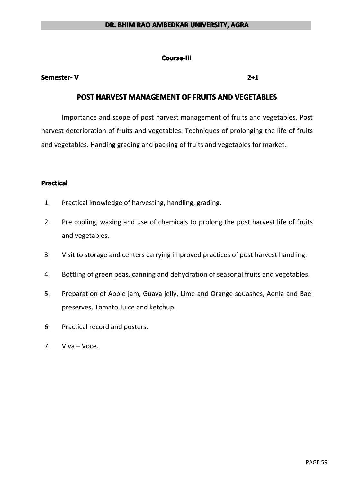#### **Course-III**

#### **Semester- Semester- Semester-V 2+1**

## **POST HARVEST HARVEST HARVESTHARVESTMANAGEMENT MANAGEMENT OF FRUITS AND VEGETABLES VEGETABLES**

Importance and scope of post harvest management of fruits and vegetables. Post harvest deterioration of fruits and vegetables. Techniques of prolonging the life of fruits and vegetables. Handing grading and packing of fruits and vegetables for market.

### **Practical PracticalPractical Practical**

- 1. Practical knowledge of harvesting, handling, grading.
- 2. Pre cooling, waxing and use of chemicals to prolong the post harvest life of fruits and vegetables.
- 3. Visit to storage and centers carrying improved practices of post harvest handling.
- 4. Bottling of green peas, canning and dehydration of seasonal fruits and vegetables.
- 5. Preparation of Apple jam, Guava jelly, Lime and Orange squashes, Aonla and Bael preserves, Tomato Juice and ketchup.
- 6. Practical record and posters.
- 7. Viva Voce.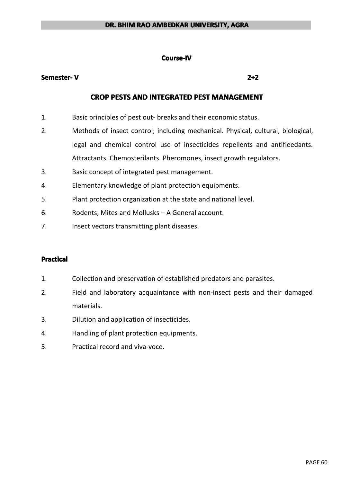#### **Course-IV Course-IV**

### **Semester- Semester- Semester-V 2+2**

## **CROP PESTS AND INTEGRATED INTEGRATED PEST MANAGEMENT MANAGEMENT**

- 1. Basic principles of pest out- breaks and their economic status.
- 2. Methods of insect control; including mechanical. Physical, cultural, biological, legal and chemical control use of insecticides repellents and antifieedants. Attractants. Chemosterilants. Pheromones, insect growth regulators.
- 3. Basic concept of integrated pest management.
- 4. Elementary knowledge of plant protection equipments.
- 5. Plant protection organization at the state and national level.
- 6. Rodents, Mites and Mollusks A General account.
- 7. Insect vectors transmitting plant diseases.

- 1. Collection and preservation of established predators and parasites.
- 2. Field and laboratory acquaintance with non-insect pests and their damaged materials.
- 3. Dilution and application of insecticides.
- 4. Handling of plant protection equipments.
- 5. Practical record and viva-voce.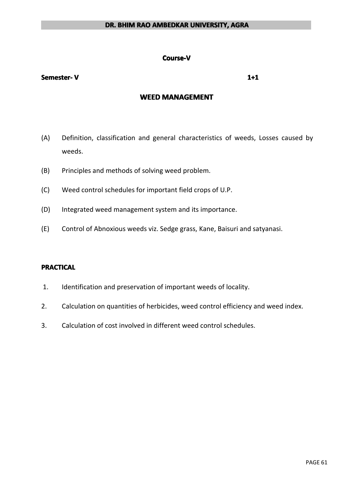#### **Course-V Course-V**

#### **Semester- Semester- Semester-V 1+1**

## **WEED MANAGEMENT MANAGEMENT MANAGEMENT**

- (A) Definition, classification and general characteristics of weeds, Losses caused by weeds.
- (B) Principles and methods of solving weed problem.
- (C) Weed control schedules for important field crops of U.P.
- (D) Integrated weed management system and its importance.
- (E) Control of Abnoxious weeds viz. Sedge grass, Kane, Baisuri and satyanasi.

### **PRACTICAL PRACTICAL**

- 1. Identification and preservation of important weeds of locality.
- 2. Calculation on quantities of herbicides, weed control efficiency and weed index.
- 3. Calculation of cost involved in different weed control schedules.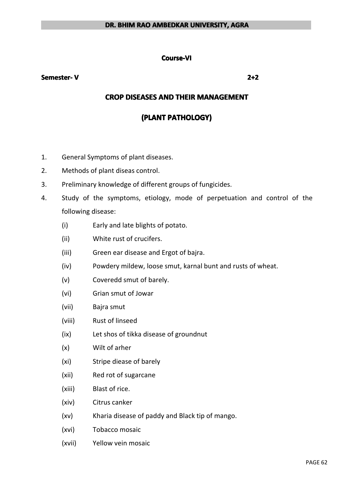#### **Course-VI**

#### **Semester- Semester- Semester-V 2+2**

## **CROP DISEASES AND THEIR MANAGEMENT**

## **(PLANT PATHOLOGY) PATHOLOGY)PATHOLOGY)PATHOLOGY)**

- 1. General Symptoms of plant diseases.
- 2. Methods of plant diseas control.
- 3. Preliminary knowledge of different groups of fungicides.
- 4. Study of the symptoms, etiology, mode of perpetuation and control of the following disease:
	- (i) Early and late blights of potato.
	- (ii) White rust of crucifers.
	- (iii) Green ear disease and Ergot of bajra.
	- (iv) Powdery mildew, loose smut, karnal bunt and rusts of wheat.
	- (v) Coveredd smut of barely.
	- (vi) Grian smut of Jowar
	- (vii) Bajra smut
	- (viii) Rust of linseed
	- (ix) Let shos of tikka disease of groundnut
	- (x) Wilt of arher
	- (xi) Stripe diease of barely
	- (xii) Red rot of sugarcane
	- (xiii) Blast of rice.
	- (xiv) Citrus canker
	- (xv) Kharia disease of paddy and Black tip of mango.
	- (xvi) Tobacco mosaic
	- (xvii) Yellow vein mosaic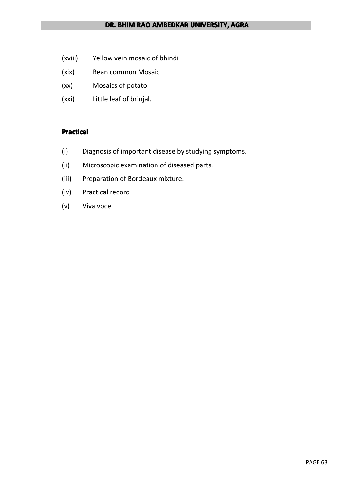- (xviii) Yellow vein mosaic of bhindi
- (xix) Bean common Mosaic
- (xx) Mosaics of potato
- (xxi) Little leaf of brinjal.

- (i) Diagnosis of important disease by studying symptoms.
- (ii) Microscopic examination of diseased parts.
- (iii) Preparation of Bordeaux mixture.
- (iv) Practical record
- (v) Viva voce.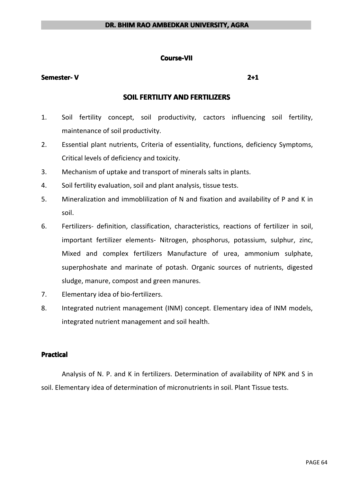#### **Course-VII Course-VII**

### **Semester- Semester- Semester-V 2+1**

## **SOIL FERTILITY AND FERTILIZERS**

- 1. Soil fertility concept, soil productivity, cactors influencing soil fertility, maintenance of soil productivity.
- 2. Essential plant nutrients, Criteria of essentiality, functions, deficiency Symptoms, Critical levels of deficiency and toxicity.
- 3. Mechanism of uptake and transport of minerals salts in plants.
- 4. Soil fertility evaluation, soil and plant analysis, tissue tests.
- 5. Mineralization and immoblilization of N and fixation and availability of P and K in soil.
- 6. Fertilizers- definition, classification, characteristics, reactions of fertilizer in soil, important fertilizer elements- Nitrogen, phosphorus, potassium, sulphur, zinc, Mixed and complex fertilizers Manufacture of urea, ammonium sulphate, superphoshate and marinate of potash. Organic sources of nutrients, digested sludge, manure, compost and green manures.
- 7. Elementary idea of bio-fertilizers.
- 8. Integrated nutrient management (INM) concept. Elementary idea of INM models, integrated nutrient management and soil health.

#### **Practical Practical Practical**

Analysis of N. P. and K in fertilizers. Determination of availability of NPK and S in soil. Elementary idea of determination of micronutrients in soil. Plant Tissue tests.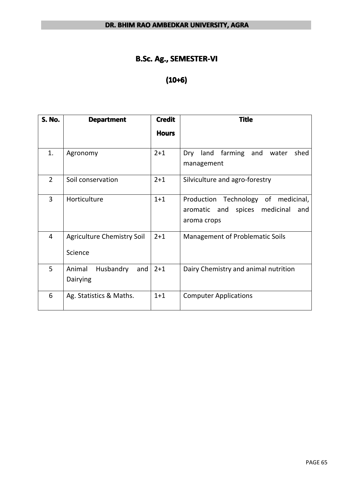# **B.Sc. Ag., SEMESTER-VI**

# **(10+6)**

| <b>S. No.</b>  | <b>Department</b>                            | <b>Credit</b><br><b>Hours</b> | <b>Title</b>                                                                                  |
|----------------|----------------------------------------------|-------------------------------|-----------------------------------------------------------------------------------------------|
| 1.             | Agronomy                                     | $2 + 1$                       | farming<br>land<br>and water<br>shed<br>Dry<br>management                                     |
| $\overline{2}$ | Soil conservation                            | $2 + 1$                       | Silviculture and agro-forestry                                                                |
| 3              | Horticulture                                 | $1+1$                         | Production Technology of medicinal,<br>spices medicinal<br>aromatic and<br>and<br>aroma crops |
| $\overline{4}$ | <b>Agriculture Chemistry Soil</b><br>Science | $2 + 1$                       | <b>Management of Problematic Soils</b>                                                        |
| 5              | Husbandry<br>Animal<br>and $ $<br>Dairying   | $2 + 1$                       | Dairy Chemistry and animal nutrition                                                          |
| 6              | Ag. Statistics & Maths.                      | $1 + 1$                       | <b>Computer Applications</b>                                                                  |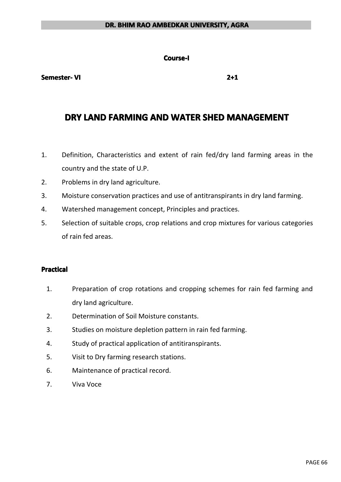#### **Course-I Course-I**

#### **Semester- Semester- Semester-VI 2+1**

## **DRY LAND FARMING FARMING FARMING AND WATER SHED MANAGEMENT MANAGEMENT MANAGEMENT**

- 1. Definition, Characteristics and extent of rain fed/dry land farming areas in the country and the state of U.P.
- 2. Problems in dry land agriculture.
- 3. Moisture conservation practices and use of antitranspirants in dry land farming.
- 4. Watershed management concept, Principles and practices.
- 5. Selection of suitable crops, crop relations and crop mixtures for various categories of rain fed areas.

- 1. Preparation of crop rotations and cropping schemes for rain fed farming and dry land agriculture.
- 2. Determination of Soil Moisture constants.
- 3. Studies on moisture depletion pattern in rain fed farming.
- 4. Study of practical application of antitiranspirants.
- 5. Visit to Dry farming research stations.
- 6. Maintenance of practical record.
- 7. Viva Voce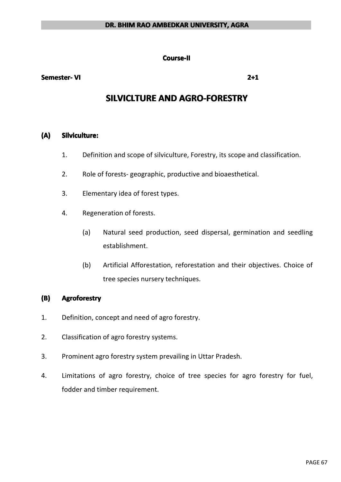#### **Course-II Course-II**

#### **Semester- Semester- Semester-VI 2+1**

# **SILVICLTURE AND AGRO-FORESTRY**

#### **(A) Silviculture: Silviculture:**

- 1. Definition and scope of silviculture, Forestry, its scope and classification.
- 2. Role of forests- geographic, productive and bioaesthetical.
- 3. Elementary idea of forest types.
- 4. Regeneration of forests.
	- (a) Natural seed production, seed dispersal, germination and seedling establishment.
	- (b) Artificial Afforestation, reforestation and their objectives. Choice of tree species nursery techniques.

### **(B) Agroforestry AgroforestryAgroforestry**

- 1. Definition, concept and need of agro forestry.
- 2. Classification of agro forestry systems.
- 3. Prominent agro forestry system prevailing in Uttar Pradesh.
- 4. Limitations of agro forestry, choice of tree species for agro forestry for fuel, fodder and timber requirement.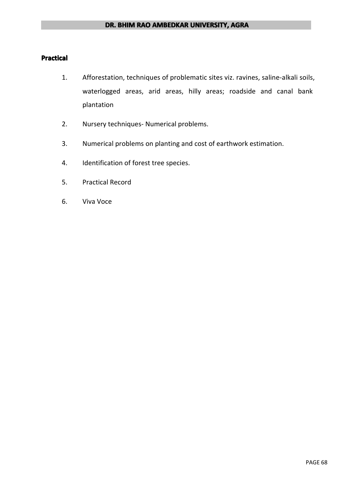- 1. Afforestation, techniques of problematic sites viz. ravines, saline-alkali soils, waterlogged areas, arid areas, hilly areas; roadside and canal bank plantation
- 2. Nursery techniques- Numerical problems.
- 3. Numerical problems on planting and cost of earthwork estimation.
- 4. Identification of forest tree species.
- 5. Practical Record
- 6. Viva Voce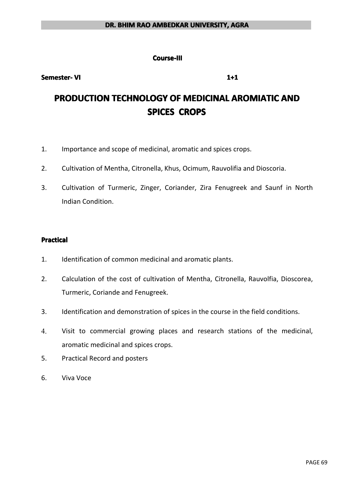#### **Course-III Course-III**

**Semester- Semester- Semester-VI 1+1**

# **PRODUCTION PRODUCTIONPRODUCTIONPRODUCTIONTECHNOLOGY TECHNOLOGYTECHNOLOGYTECHNOLOGYOF MEDICINAL MEDICINALMEDICINALAROMIATIC AROMIATICAROMIATICAROMIATICAND SPICES CROPS**

- 1. Importance and scope of medicinal, aromatic and spices crops.
- 2. Cultivation of Mentha, Citronella, Khus, Ocimum, Rauvolifia and Dioscoria.
- 3. Cultivation of Turmeric, Zinger, Coriander, Zira Fenugreek and Saunf in North Indian Condition.

### **Practical Practical Practical Practical**

- 1. Identification of common medicinal and aromatic plants.
- 2. Calculation of the cost of cultivation of Mentha, Citronella, Rauvolfia, Dioscorea, Turmeric, Coriande and Fenugreek.
- 3. Identification and demonstration of spices in the course in the field conditions.
- 4. Visit to commercial growing places and research stations of the medicinal, aromatic medicinal and spices crops.
- 5. Practical Record and posters
- 6. Viva Voce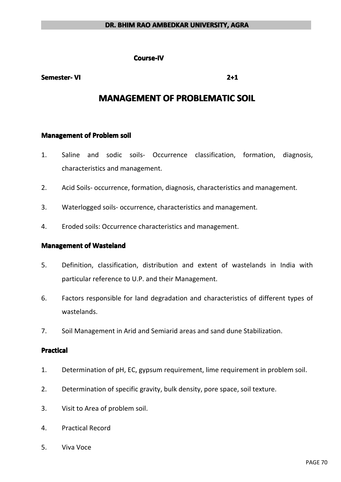**Course-IV Course-IV**

#### **Semester- Semester- Semester-VI 2+1**

# **MANAGEMENT OF PROBLEMATIC SOIL**

#### **Management Management of Problem Problemsoil**

- 1. Saline and sodic soils- Occurrence classification, formation, diagnosis, characteristics and management.
- 2. Acid Soils- occurrence, formation, diagnosis, characteristics and management.
- 3. Waterlogged soils- occurrence, characteristics and management.
- 4. Eroded soils: Occurrence characteristics and management.

#### **Management of Wasteland**

- 5. Definition, classification, distribution and extent of wastelands in India with particular reference to U.P. and their Management.
- 6. Factors responsible for land degradation and characteristics of different types of wastelands.
- 7. Soil Management in Arid and Semiarid areas and sand dune Stabilization.

#### **Practical PracticalPractical Practical**

- 1. Determination of pH, EC, gypsum requirement, lime requirement in problem soil.
- 2. Determination of specific gravity, bulk density, pore space, soil texture.
- 3. Visit to Area of problem soil.
- 4. Practical Record
- 5. Viva Voce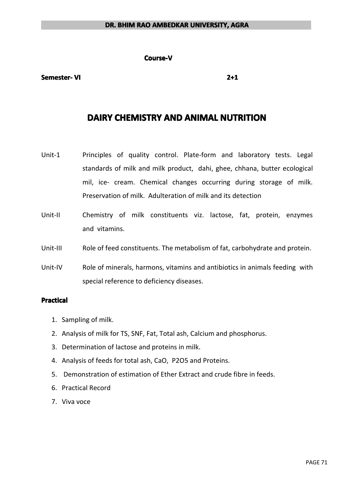#### **Course-V**

#### **Semester- Semester- Semester-VI 2+1**

## **DAIRY CHEMISTRY CHEMISTRYAND ANIMAL NUTRITION**

- Unit-1 Principles of quality control. Plate-form and laboratory tests. Legal standards of milk and milk product, dahi, ghee, chhana, butter ecological mil, ice- cream. Chemical changes occurring during storage of milk. Preservation of milk. Adulteration of milk and its detection
- Unit-II Chemistry of milk constituents viz. lactose, fat, protein, enzymes and vitamins.
- Unit-III Role of feed constituents. The metabolism of fat, carbohydrate and protein.
- Unit-IV Role of minerals, harmons, vitamins and antibiotics in animals feeding with special reference to deficiency diseases.

- 1. Sampling of milk.
- 2. Analysis of milk for TS, SNF, Fat, Total ash, Calcium and phosphorus.
- 3. Determination of lactose and proteins in milk.
- 4. Analysis of feeds for total ash, CaO, P2O5 and Proteins.
- 5. Demonstration of estimation of Ether Extract and crude fibre in feeds.
- 6. Practical Record
- 7. Viva voce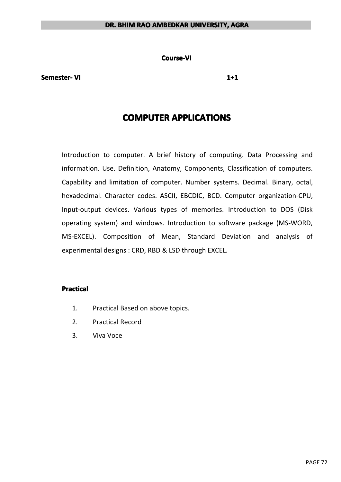**Course-VI**

**Semester- Semester- Semester-VI 1+1**

# **COMPUTER APPLICATIONS**

Introduction to computer. A brief history of computing. Data Processing and information. Use. Definition, Anatomy, Components, Classification of computers. Capability and limitation of computer. Number systems. Decimal. Binary, octal, hexadecimal. Character codes. ASCII, EBCDIC, BCD. Computer organization-CPU, Input-output devices. Various types of memories. Introduction to DOS (Disk operating system) and windows. Introduction to software package (MS-WORD, MS-EXCEL). Composition of Mean, Standard Deviation and analysis of experimental designs : CRD, RBD & LSD through EXCEL.

- 1. Practical Based on above topics.
- 2. Practical Record
- 3. Viva Voce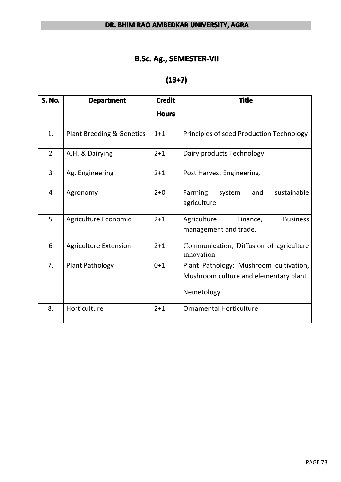## **B.Sc. Ag., SEMESTER-VII**

# **(13+7)**

| <b>S. No.</b>  | <b>Department</b>                    | <b>Credit</b> | <b>Title</b>                                                                                  |  |  |
|----------------|--------------------------------------|---------------|-----------------------------------------------------------------------------------------------|--|--|
|                |                                      | <b>Hours</b>  |                                                                                               |  |  |
| 1.             | <b>Plant Breeding &amp; Genetics</b> | $1+1$         | Principles of seed Production Technology                                                      |  |  |
| $\overline{2}$ | A.H. & Dairying                      | $2 + 1$       | Dairy products Technology                                                                     |  |  |
| 3              | Ag. Engineering                      | $2 + 1$       | Post Harvest Engineering.                                                                     |  |  |
| $\overline{4}$ | Agronomy                             | $2 + 0$       | Farming<br>sustainable<br>and<br>system<br>agriculture                                        |  |  |
| 5              | Agriculture Economic                 | $2 + 1$       | Agriculture<br>Finance,<br><b>Business</b><br>management and trade.                           |  |  |
| 6              | <b>Agriculture Extension</b>         | $2 + 1$       | Communication, Diffusion of agriculture<br>innovation                                         |  |  |
| 7.             | <b>Plant Pathology</b>               | $0 + 1$       | Plant Pathology: Mushroom cultivation,<br>Mushroom culture and elementary plant<br>Nemetology |  |  |
| 8.             | Horticulture                         | $2 + 1$       | <b>Ornamental Horticulture</b>                                                                |  |  |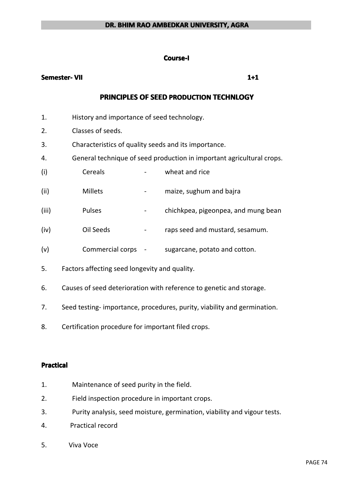#### **Course-I Course-I**

### **Semester- Semester- Semester-VII 1+1**

## **PRINCIPLES PRINCIPLES PRINCIPLESPRINCIPLESOF SEED PRODUCTION PRODUCTION TECHNLOGY TECHNLOGY TECHNLOGY**

- 1. History and importance of seed technology.
- 2. Classes of seeds.
- 3. Characteristics of quality seeds and its importance.
- 4. General technique of seed production in important agricultural crops.
- (i) Cereals wheat and rice
- (ii) Millets maize, sughum and bajra
- (iii) Pulses chichkpea, pigeonpea, and mung bean
- (iv) Oil Seeds raps seed and mustard, sesamum.
- (v) Commercial corps sugarcane, potato and cotton.
- 5. Factors affecting seed longevity and quality.
- 6. Causes of seed deterioration with reference to genetic and storage.
- 7. Seed testing- importance, procedures, purity, viability and germination.
- 8. Certification procedure for important filed crops.

### **Practical**

- 1. Maintenance of seed purity in the field.
- 2. Field inspection procedure in important crops.
- 3. Purity analysis, seed moisture, germination, viability and vigour tests.
- 4. Practical record
- 5. Viva Voce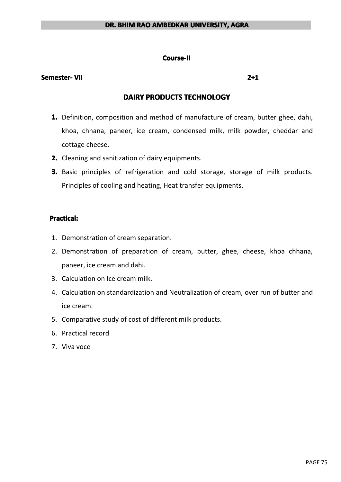## **Course-II Course-II**

## **Semester- Semester- Semester-VII 2+1**

## **DAIRY PRODUCTS PRODUCTS PRODUCTS PRODUCTS TECHNOLOGY TECHNOLOGY TECHNOLOGYTECHNOLOGY**

- **1.** Definition, composition and method of manufacture of cream, butter ghee, dahi, khoa, chhana, paneer, ice cream, condensed milk, milk powder, cheddar and cottage cheese.
- **2.** Cleaning and sanitization of dairy equipments.
- **3.** Basic principles of refrigeration and cold storage, storage of milk products. Principles of cooling and heating, Heat transfer equipments.

## **Practical:**

- 1. Demonstration of cream separation.
- 2. Demonstration of preparation of cream, butter, ghee, cheese, khoa chhana, paneer, ice creamand dahi.
- 3. Calculation on Ice cream milk.
- 4. Calculation on standardization and Neutralization of cream, over runof butter and ice cream.
- 5. Comparative study of cost of different milk products.
- 6. Practical record
- 7. Viva voce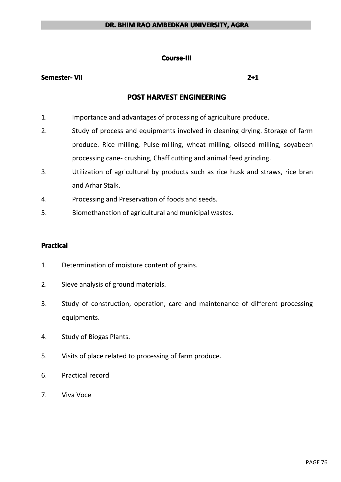## **Course-III**

## **Semester- Semester- Semester-VII 2+1**

## **POST HARVEST HARVEST ENGINEERING ENGINEERING**

- 1. Importance and advantages of processing of agriculture produce.
- 2. Study of process and equipments involved in cleaning drying. Storage of farm produce. Rice milling, Pulse-milling, wheat milling, oilseed milling, soyabeen processing cane- crushing, Chaff cutting and animal feed grinding.
- 3. Utilization of agricultural by products such as rice husk and straws, rice bran and Arhar Stalk.
- 4. Processing and Preservation of foods and seeds.
- 5. Biomethanation of agricultural and municipal wastes.

## **Practical Practical**

- 1. Determination of moisture content of grains.
- 2. Sieve analysis of ground materials.
- 3. Study of construction, operation, care and maintenance of different processing equipments.
- 4. Study of Biogas Plants.
- 5. Visits of place related to processing of farm produce.
- 6. Practical record
- 7. Viva Voce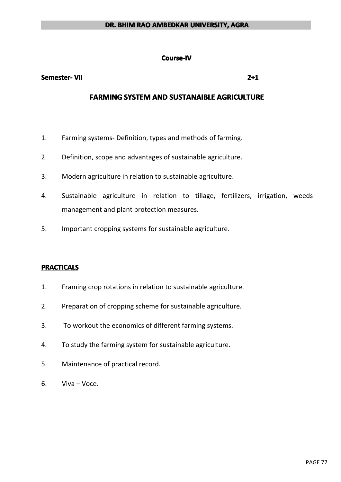#### **Course-IV Course-IV**

#### **Semester- Semester- Semester-VII 2+1**

## **FARMING SYSTEM AND SUSTANAIBLE AGRICULTURE**

- 1. Farming systems- Definition, types and methods of farming.
- 2. Definition, scope and advantages of sustainable agriculture.
- 3. Modern agriculture in relation to sustainable agriculture.
- 4. Sustainable agriculture in relation to tillage, fertilizers, irrigation, weeds management and plant protection measures.
- 5. Important cropping systems for sustainable agriculture.

## **PRACTICALS PRACTICALS**

- 1. Framing crop rotations in relation to sustainable agriculture.
- 2. Preparation of cropping scheme for sustainable agriculture.
- 3. To workout the economics of different farming systems.
- 4. To study the farming system for sustainable agriculture.
- 5. Maintenance of practical record.
- 6. Viva Voce.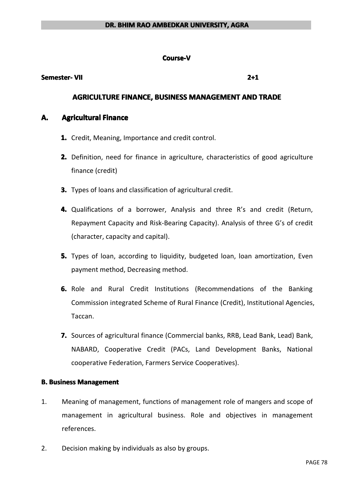## **Course-V Course-V**

## **Semester- Semester- Semester-VII 2+1**

## **AGRICULTURE AGRICULTURE AGRICULTUREFINANCE, FINANCE, FINANCE, BUSINESS BUSINESS BUSINESSBUSINESSMANAGEMENT MANAGEMENT MANAGEMENT AND TRADE**

## **A. Agricultural Finance**

- **1.** Credit, Meaning, Importance and credit control.
- **2.** Definition, need for finance in agriculture, characteristics of good agriculture finance (credit)
- **3.** Types of loans and classification of agricultural credit.
- **4.** Qualifications of <sup>a</sup> borrower, Analysis and three R's and credit (Return, Repayment Capacity and Risk-Bearing Capacity). Analysis of three G's of credit (character, capacity and capital).
- **5.** Types of loan, according to liquidity, budgeted loan, loan amortization, Even payment method, Decreasing method.
- **6.** Role and Rural Credit Institutions (Recommendations of the Banking Commission integrated Scheme of Rural Finance (Credit), Institutional Agencies, Taccan.
- **7.** Sources of agricultural finance (Commercial banks, RRB, Lead Bank, Lead) Bank, NABARD, Cooperative Credit (PACs, Land Development Banks, National cooperative Federation, Farmers Service Cooperatives).

## **B.** Business Management

- 1. Meaning of management, functions of management role of mangers and scope of management in agricultural business. Role and objectives in management references.
- 2. Decision making by individuals as also by groups.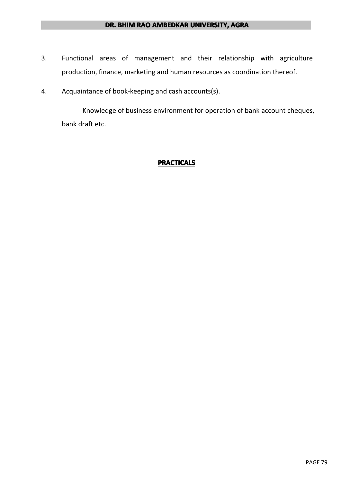- 3. Functional areas of management and their relationship with agriculture production, finance, marketing and human resources as coordination thereof.
- 4. Acquaintance of book-keeping and cash accounts(s).

Knowledge of business environment for operation of bank account cheques, bank draft etc.

## **PRACTICALS PRACTICALS**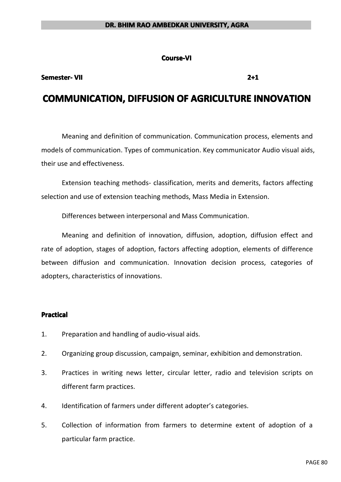**Course-VI**

## **Semester- Semester- Semester-VII 2+1**

## **COMMUNICATION, DIFFUSION OF AGRICULTURE INNOVATION**

Meaning and definition of communication. Communication process, elements and models of communication. Types of communication. Key communicator Audio visual aids, their use and effectiveness.

Extension teaching methods- classification, merits and demerits, factors affecting selection and use of extension teaching methods, Mass Media in Extension.

Differences between interpersonal and Mass Communication.

Meaning and definition of innovation, diffusion, adoption, diffusion effect and rate of adoption, stages of adoption, factors affecting adoption, elements of difference between diffusion and communication. Innovation decision process, categories of adopters, characteristics of innovations.

### **Practical Practical**

- 1. Preparation and handling of audio-visual aids.
- 2. Organizing group discussion, campaign, seminar, exhibition and demonstration.
- 3. Practices in writing news letter, circular letter, radio and television scripts on different farm practices.
- 4. Identification of farmers under different adopter's categories.
- 5. Collection of information from farmers to determine extent of adoption of <sup>a</sup> particular farm practice.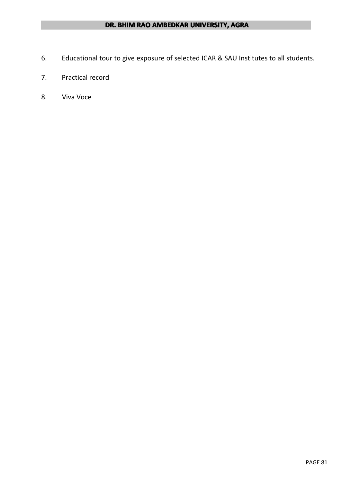- 6. Educational tour to give exposure of selected ICAR & SAU Institutes to all students.
- 7. Practical record
- 8. Viva Voce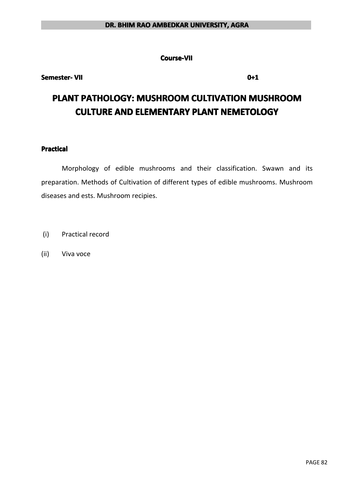**Course-VII Course-VII**

## **Semester- Semester- Semester-VII 0+1**

# **PLANT PATHOLOGY: MUSHROOM CULTIVATION MUSHROOM CULTURE AND ELEMENTARY PLANT NEMETOLOGY**

## **Practical Practical Practical Practical**

Morphology of edible mushrooms and their classification. Swawn and its preparation. Methods of Cultivation of different types of edible mushrooms. Mushroom diseases and ests. Mushroom recipies.

- (i) Practical record
- (ii) Viva voce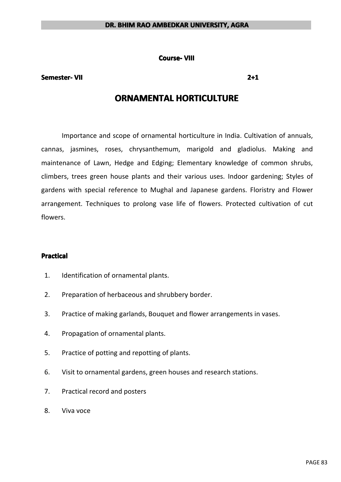**Course- VIII**

## **Semester- Semester- Semester-VII 2+1**

## **ORNAMENTAL HORTICULTURE**

Importance and scope of ornamental horticulture in India. Cultivation of annuals, cannas, jasmines, roses, chrysanthemum, marigold and gladiolus. Making and maintenance of Lawn, Hedge and Edging; Elementary knowledge of common shrubs, climbers, trees green house plants and their various uses. Indoor gardening; Styles of gardens with special reference to Mughal and Japanese gardens. Floristry and Flower arrangement. Techniques to prolong vase life of flowers. Protected cultivation of cut flowers.

## **Practical Practical**

- 1. Identification of ornamental plants.
- 2. Preparation of herbaceous and shrubbery border.
- 3. Practice of making garlands, Bouquet and flower arrangements in vases.
- 4. Propagation of ornamental plants.
- 5. Practice of potting and repotting of plants.
- 6. Visit to ornamental gardens, green houses and research stations.
- 7. Practical record and posters
- 8. Viva voce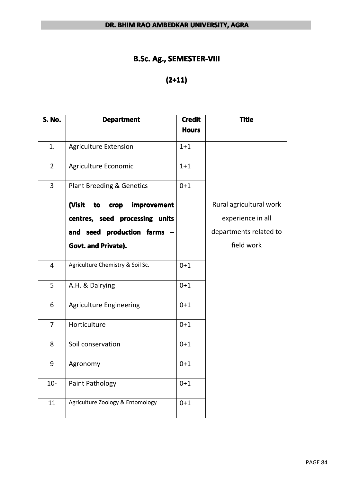## **B.Sc. Ag., SEMESTER-VIII**

# **(2+11)**

| <b>S. No.</b>  | <b>Department</b>                    | <b>Credit</b> | <b>Title</b>            |
|----------------|--------------------------------------|---------------|-------------------------|
|                |                                      | <b>Hours</b>  |                         |
| 1.             | <b>Agriculture Extension</b>         | $1 + 1$       |                         |
| $\overline{2}$ | Agriculture Economic                 | $1 + 1$       |                         |
| 3              | <b>Plant Breeding &amp; Genetics</b> | $0 + 1$       |                         |
|                | (Visit<br>crop improvement<br>to     |               | Rural agricultural work |
|                | centres, seed processing units       |               | experience in all       |
|                | and seed production farms -          |               | departments related to  |
|                | Govt. and Private).                  |               | field work              |
| $\overline{4}$ | Agriculture Chemistry & Soil Sc.     | $0 + 1$       |                         |
| 5              | A.H. & Dairying                      | $0 + 1$       |                         |
| 6              | <b>Agriculture Engineering</b>       | $0 + 1$       |                         |
| $\overline{7}$ | Horticulture                         | $0 + 1$       |                         |
| 8              | Soil conservation                    | $0 + 1$       |                         |
| 9              | Agronomy                             | $0 + 1$       |                         |
| $10-$          | Paint Pathology                      | $0 + 1$       |                         |
| 11             | Agriculture Zoology & Entomology     | $0 + 1$       |                         |
|                |                                      |               |                         |